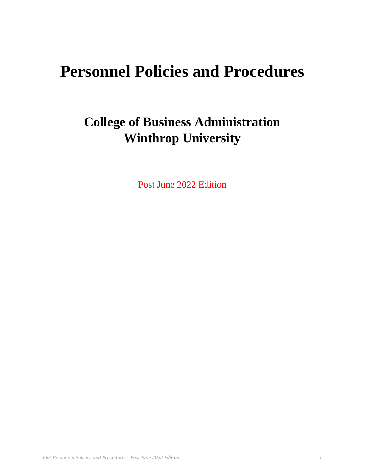# **Personnel Policies and Procedures**

# **College of Business Administration Winthrop University**

Post June 2022 Edition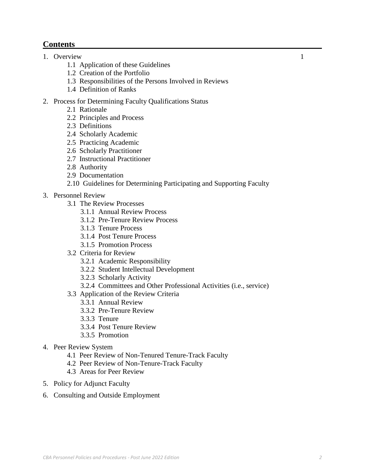## **Contents**

## 1. Overview 1

- 1.1 Application of these Guidelines
- 1.2 Creation of the Portfolio
- 1.3 Responsibilities of the Persons Involved in Reviews
- 1.4 Definition of Ranks

#### 2. Process for Determining Faculty Qualifications Status

- 2.1 Rationale
- 2.2 Principles and Process
- 2.3 Definitions
- 2.4 Scholarly Academic
- 2.5 Practicing Academic
- 2.6 Scholarly Practitioner
- 2.7 Instructional Practitioner
- 2.8 Authority
- 2.9 Documentation

#### 2.10 Guidelines for Determining Participating and Supporting Faculty

- 3. Personnel Review
	- 3.1 The Review Processes
		- 3.1.1 Annual Review Process
		- 3.1.2 Pre-Tenure Review Process
		- 3.1.3 Tenure Process
		- 3.1.4 Post Tenure Process
		- 3.1.5 Promotion Process
	- 3.2 Criteria for Review
		- 3.2.1 Academic Responsibility
		- 3.2.2 Student Intellectual Development
		- 3.2.3 Scholarly Activity
		- 3.2.4 Committees and Other Professional Activities (i.e., service)
	- 3.3 Application of the Review Criteria
		- 3.3.1 Annual Review
		- 3.3.2 Pre-Tenure Review
		- 3.3.3 Tenure
		- 3.3.4 Post Tenure Review
		- 3.3.5 Promotion
- 4. Peer Review System
	- 4.1 Peer Review of Non-Tenured Tenure-Track Faculty
	- 4.2 Peer Review of Non-Tenure-Track Faculty
	- 4.3 Areas for Peer Review
- 5. Policy for Adjunct Faculty
- 6. Consulting and Outside Employment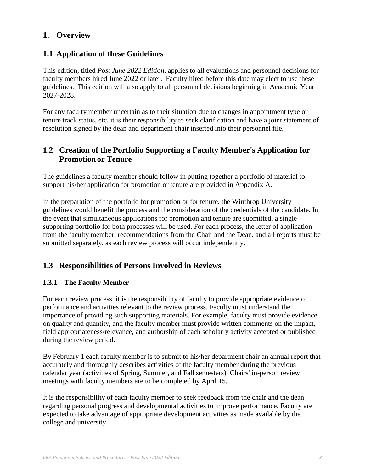## **1. Overview**

## **1.1 Application of these Guidelines**

This edition, titled *Post June 2022 Edition*, applies to all evaluations and personnel decisions for faculty members hired June 2022 or later. Faculty hired before this date may elect to use these guidelines. This edition will also apply to all personnel decisions beginning in Academic Year 2027-2028.

For any faculty member uncertain as to their situation due to changes in appointment type or tenure track status, etc. it is their responsibility to seek clarification and have a joint statement of resolution signed by the dean and department chair inserted into their personnel file.

## **1.2 Creation of the Portfolio Supporting a Faculty Member's Application for Promotion or Tenure**

The guidelines a faculty member should follow in putting together a portfolio of material to support his/her application for promotion or tenure are provided in Appendix A.

In the preparation of the portfolio for promotion or for tenure, the Winthrop University [guidelines w](http://www.winthrop.edu/uploadedFiles/cba/facultymanual/WUGuidelinesforPromotionTenurePortfolio.pdf)ould benefit the process and the consideration of the credentials of the candidate. In the event that simultaneous applications for promotion and tenure are submitted, a single supporting portfolio for both processes will be used. For each process, the letter of application from the faculty member, recommendations from the Chair and the Dean, and all reports must be submitted separately, as each review process will occur independently.

# **1.3 Responsibilities of Persons Involved in Reviews**

#### **1.3.1 The Faculty Member**

For each review process, it is the responsibility of faculty to provide appropriate evidence of performance and activities relevant to the review process. Faculty must understand the importance of providing such supporting materials. For example, faculty must provide evidence on quality and quantity, and the faculty member must provide written comments on the impact, field appropriateness/relevance, and authorship of each scholarly activity accepted or published during the review period.

By February 1 each faculty member is to submit to his/her department chair an annual report that accurately and thoroughly describes activities of the faculty member during the previous calendar year (activities of Spring, Summer, and Fall semesters). Chairs' in-person review meetings with faculty members are to be completed by April 15.

It is the responsibility of each faculty member to seek feedback from the chair and the dean regarding personal progress and developmental activities to improve performance. Faculty are expected to take advantage of appropriate development activities as made available by the college and university.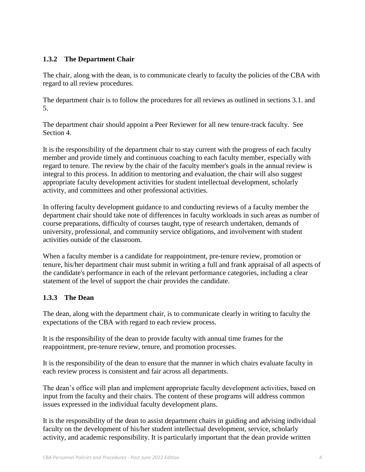## **1.3.2 The Department Chair**

The chair, along with the dean, is to communicate clearly to faculty the policies of the CBA with regard to all review procedures.

The department chair is to follow the procedures for all reviews as outlined in sections 3.1. and 5.

The department chair should appoint a Peer Reviewer for all new tenure-track faculty. See Section 4.

It is the responsibility of the department chair to stay current with the progress of each faculty member and provide timely and continuous coaching to each faculty member, especially with regard to tenure. The review by the chair of the faculty member's goals in the annual review is integral to this process. In addition to mentoring and evaluation, the chair will also suggest appropriate faculty development activities for student intellectual development, scholarly activity, and committees and other professional activities.

In offering faculty development guidance to and conducting reviews of a faculty member the department chair should take note of differences in faculty workloads in such areas as number of course preparations, difficulty of courses taught, type of research undertaken, demands of university, professional, and community service obligations, and involvement with student activities outside of the classroom.

When a faculty member is a candidate for reappointment, pre-tenure review, promotion or tenure, his/her department chair must submit in writing a full and frank appraisal of all aspects of the candidate's performance in each of the relevant performance categories, including a clear statement of the level of support the chair provides the candidate.

#### **1.3.3 The Dean**

The dean, along with the department chair, is to communicate clearly in writing to faculty the expectations of the CBA with regard to each review process.

It is the responsibility of the dean to provide faculty with annual time frames for the reappointment, pre-tenure review, tenure, and promotion processes.

It is the responsibility of the dean to ensure that the manner in which chairs evaluate faculty in each review process is consistent and fair across all departments.

The dean's office will plan and implement appropriate faculty development activities, based on input from the faculty and their chairs. The content of these programs will address common issues expressed in the individual faculty development plans.

It is the responsibility of the dean to assist department chairs in guiding and advising individual faculty on the development of his/her student intellectual development, service, scholarly activity, and academic responsibility. It is particularly important that the dean provide written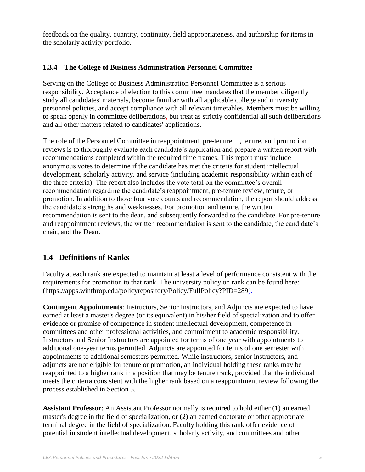feedback on the quality, quantity, continuity, field appropriateness, and authorship for items in the scholarly activity portfolio.

#### **1.3.4 The College of Business Administration Personnel Committee**

Serving on the College of Business Administration Personnel Committee is a serious responsibility. Acceptance of election to this committee mandates that the member diligently study all candidates' materials, become familiar with all applicable college and university personnel policies, and accept compliance with all relevant timetables. Members must be willing to speak openly in committee deliberations, but treat as strictly confidential all such deliberations and all other matters related to candidates' applications.

The role of the Personnel Committee in reappointment, pre-tenure , tenure, and promotion reviews is to thoroughly evaluate each candidate's application and prepare a written report with recommendations completed within the required time frames. This report must include anonymous votes to determine if the candidate has met the criteria for student intellectual development, scholarly activity, and service (including academic responsibility within each of the three criteria). The report also includes the vote total on the committee's overall recommendation regarding the candidate's reappointment, pre-tenure review, tenure, or promotion. In addition to those four vote counts and recommendation, the report should address the candidate's strengths and weaknesses. For promotion and tenure, the written recommendation is sent to the dean, and subsequently forwarded to the candidate. For pre-tenure and reappointment reviews, the written recommendation is sent to the candidate, the candidate's chair, and the Dean.

## **1.4 Definitions of Ranks**

Faculty at each rank are expected to maintain at least a level of performance consistent with the requirements for promotion to that rank. The university policy on rank can be found here: (https://apps.winthrop.edu/policyrepository/Policy/FullPolicy?PID=289).

**Contingent Appointments**: Instructors, Senior Instructors, and Adjuncts are expected to have earned at least a master's degree (or its equivalent) in his/her field of specialization and to offer evidence or promise of competence in student intellectual development, competence in committees and other professional activities, and commitment to academic responsibility. Instructors and Senior Instructors are appointed for terms of one year with appointments to additional one-year terms permitted. Adjuncts are appointed for terms of one semester with appointments to additional semesters permitted. While instructors, senior instructors, and adjuncts are not eligible for tenure or promotion, an individual holding these ranks may be reappointed to a higher rank in a position that may be tenure track, provided that the individual meets the criteria consistent with the higher rank based on a reappointment review following the process established in Section 5.

**Assistant Professor**: An Assistant Professor normally is required to hold either (1) an earned master's degree in the field of specialization, or (2) an earned doctorate or other appropriate terminal degree in the field of specialization. Faculty holding this rank offer evidence of potential in student intellectual development, scholarly activity, and committees and other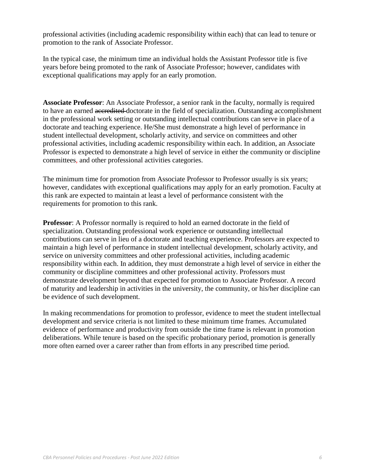professional activities (including academic responsibility within each) that can lead to tenure or promotion to the rank of Associate Professor.

In the typical case, the minimum time an individual holds the Assistant Professor title is five years before being promoted to the rank of Associate Professor; however, candidates with exceptional qualifications may apply for an early promotion.

**Associate Professor**: An Associate Professor, a senior rank in the faculty, normally is required to have an earned accredited doctorate in the field of specialization. Outstanding accomplishment in the professional work setting or outstanding intellectual contributions can serve in place of a doctorate and teaching experience. He/She must demonstrate a high level of performance in student intellectual development, scholarly activity, and service on committees and other professional activities, including academic responsibility within each. In addition, an Associate Professor is expected to demonstrate a high level of service in either the community or discipline committees, and other professional activities categories.

The minimum time for promotion from Associate Professor to Professor usually is six years; however, candidates with exceptional qualifications may apply for an early promotion. Faculty at this rank are expected to maintain at least a level of performance consistent with the requirements for promotion to this rank.

**Professor**: A Professor normally is required to hold an earned doctorate in the field of specialization. Outstanding professional work experience or outstanding intellectual contributions can serve in lieu of a doctorate and teaching experience. Professors are expected to maintain a high level of performance in student intellectual development, scholarly activity, and service on university committees and other professional activities, including academic responsibility within each. In addition, they must demonstrate a high level of service in either the community or discipline committees and other professional activity. Professors must demonstrate development beyond that expected for promotion to Associate Professor. A record of maturity and leadership in activities in the university, the community, or his/her discipline can be evidence of such development.

In making recommendations for promotion to professor, evidence to meet the student intellectual development and service criteria is not limited to these minimum time frames. Accumulated evidence of performance and productivity from outside the time frame is relevant in promotion deliberations. While tenure is based on the specific probationary period, promotion is generally more often earned over a career rather than from efforts in any prescribed time period.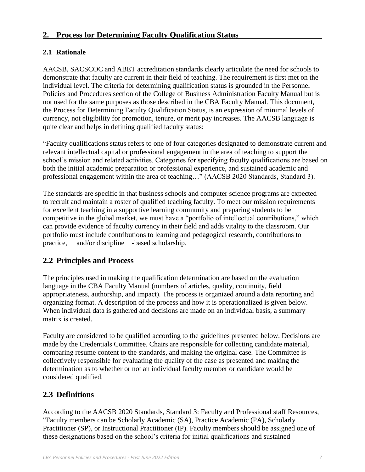## **2. Process for Determining Faculty Qualification Status**

## **2.1 Rationale**

AACSB, SACSCOC and ABET accreditation standards clearly articulate the need for schools to demonstrate that faculty are current in their field of teaching. The requirement is first met on the individual level. The criteria for determining qualification status is grounded in the Personnel Policies and Procedures section of the College of Business Administration Faculty Manual but is not used for the same purposes as those described in the CBA Faculty Manual. This document, the Process for Determining Faculty Qualification Status, is an expression of minimal levels of currency, not eligibility for promotion, tenure, or merit pay increases. The AACSB language is quite clear and helps in defining qualified faculty status:

"Faculty qualifications status refers to one of four categories designated to demonstrate current and relevant intellectual capital or professional engagement in the area of teaching to support the school's mission and related activities. Categories for specifying faculty qualifications are based on both the initial academic preparation or professional experience, and sustained academic and professional engagement within the area of teaching…" (AACSB 2020 Standards, Standard 3).

The standards are specific in that business schools and computer science programs are expected to recruit and maintain a roster of qualified teaching faculty. To meet our mission requirements for excellent teaching in a supportive learning community and preparing students to be competitive in the global market, we must have a "portfolio of intellectual contributions," which can provide evidence of faculty currency in their field and adds vitality to the classroom. Our portfolio must include contributions to learning and pedagogical research, contributions to practice, and/or discipline -based scholarship.

## **2.2 Principles and Process**

The principles used in making the qualification determination are based on the evaluation language in the CBA Faculty Manual (numbers of articles, quality, continuity, field appropriateness, authorship, and impact). The process is organized around a data reporting and organizing format. A description of the process and how it is operationalized is given below. When individual data is gathered and decisions are made on an individual basis, a summary matrix is created.

Faculty are considered to be qualified according to the guidelines presented below. Decisions are made by the Credentials Committee. Chairs are responsible for collecting candidate material, comparing resume content to the standards, and making the original case. The Committee is collectively responsible for evaluating the quality of the case as presented and making the determination as to whether or not an individual faculty member or candidate would be considered qualified.

# **2.3 Definitions**

According to the AACSB 2020 Standards, Standard 3: Faculty and Professional staff Resources, "Faculty members can be Scholarly Academic (SA), Practice Academic (PA), Scholarly Practitioner (SP), or Instructional Practitioner (IP). Faculty members should be assigned one of these designations based on the school's criteria for initial qualifications and sustained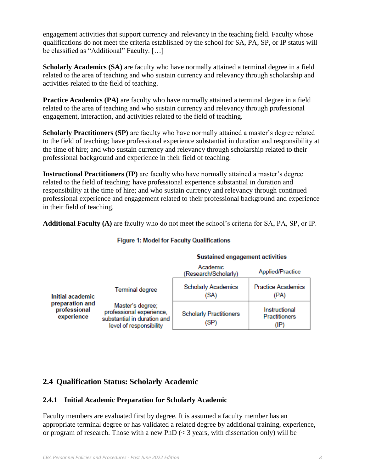engagement activities that support currency and relevancy in the teaching field. Faculty whose qualifications do not meet the criteria established by the school for SA, PA, SP, or IP status will be classified as "Additional" Faculty. [...]

**Scholarly Academics (SA)** are faculty who have normally attained a terminal degree in a field related to the area of teaching and who sustain currency and relevancy through scholarship and activities related to the field of teaching.

**Practice Academics (PA)** are faculty who have normally attained a terminal degree in a field related to the area of teaching and who sustain currency and relevancy through professional engagement, interaction, and activities related to the field of teaching.

**Scholarly Practitioners (SP)** are faculty who have normally attained a master's degree related to the field of teaching; have professional experience substantial in duration and responsibility at the time of hire; and who sustain currency and relevancy through scholarship related to their professional background and experience in their field of teaching.

**Instructional Practitioners (IP)** are faculty who have normally attained a master's degree related to the field of teaching; have professional experience substantial in duration and responsibility at the time of hire; and who sustain currency and relevancy through continued professional experience and engagement related to their professional background and experience in their field of teaching.

**Additional Faculty (A)** are faculty who do not meet the school's criteria for SA, PA, SP, or IP.

|                                                                   |                                                                                                        | <b>Sustained engagement activities</b> |                                               |  |
|-------------------------------------------------------------------|--------------------------------------------------------------------------------------------------------|----------------------------------------|-----------------------------------------------|--|
|                                                                   |                                                                                                        | Academic<br>(Research/Scholarly)       | Applied/Practice                              |  |
| Initial academic<br>preparation and<br>professional<br>experience | <b>Terminal degree</b>                                                                                 | <b>Scholarly Academics</b><br>(SA)     | <b>Practice Academics</b><br>(PA)             |  |
|                                                                   | Master's degree;<br>professional experience,<br>substantial in duration and<br>level of responsibility | <b>Scholarly Practitioners</b><br>(SP) | Instructional<br><b>Practitioners</b><br>(IP) |  |

#### **Figure 1: Model for Faculty Qualifications**

# **2.4 Qualification Status: Scholarly Academic**

## **2.4.1 Initial Academic Preparation for Scholarly Academic**

Faculty members are evaluated first by degree. It is assumed a faculty member has an appropriate terminal degree or has validated a related degree by additional training, experience, or program of research. Those with a new PhD  $\ll$  3 years, with dissertation only) will be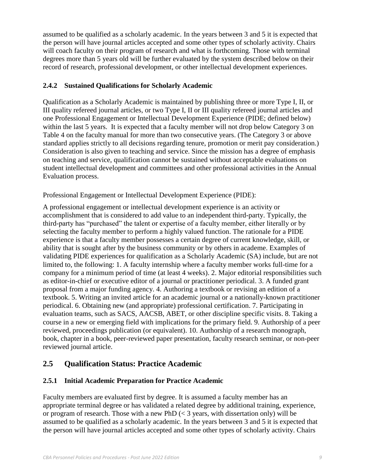assumed to be qualified as a scholarly academic. In the years between 3 and 5 it is expected that the person will have journal articles accepted and some other types of scholarly activity. Chairs will coach faculty on their program of research and what is forthcoming. Those with terminal degrees more than 5 years old will be further evaluated by the system described below on their record of research, professional development, or other intellectual development experiences.

#### **2.4.2 Sustained Qualifications for Scholarly Academic**

Qualification as a Scholarly Academic is maintained by publishing three or more Type I, II, or III quality refereed journal articles, or two Type I, II or III quality refereed journal articles and one Professional Engagement or Intellectual Development Experience (PIDE; defined below) within the last 5 years. It is expected that a faculty member will not drop below Category 3 on Table 4 on the faculty manual for more than two consecutive years. (The Category 3 or above standard applies strictly to all decisions regarding tenure, promotion or merit pay consideration.) Consideration is also given to teaching and service. Since the mission has a degree of emphasis on teaching and service, qualification cannot be sustained without acceptable evaluations on student intellectual development and committees and other professional activities in the Annual Evaluation process.

Professional Engagement or Intellectual Development Experience (PIDE):

A professional engagement or intellectual development experience is an activity or accomplishment that is considered to add value to an independent third-party. Typically, the third-party has "purchased" the talent or expertise of a faculty member, either literally or by selecting the faculty member to perform a highly valued function. The rationale for a PIDE experience is that a faculty member possesses a certain degree of current knowledge, skill, or ability that is sought after by the business community or by others in academe. Examples of validating PIDE experiences for qualification as a Scholarly Academic (SA) include, but are not limited to, the following: 1. A faculty internship where a faculty member works full-time for a company for a minimum period of time (at least 4 weeks). 2. Major editorial responsibilities such as editor-in-chief or executive editor of a journal or practitioner periodical. 3. A funded grant proposal from a major funding agency. 4. Authoring a textbook or revising an edition of a textbook. 5. Writing an invited article for an academic journal or a nationally-known practitioner periodical. 6. Obtaining new (and appropriate) professional certification. 7. Participating in evaluation teams, such as SACS, AACSB, ABET, or other discipline specific visits. 8. Taking a course in a new or emerging field with implications for the primary field. 9. Authorship of a peer reviewed, proceedings publication (or equivalent). 10. Authorship of a research monograph, book, chapter in a book, peer-reviewed paper presentation, faculty research seminar, or non-peer reviewed journal article.

## **2.5 Qualification Status: Practice Academic**

#### **2.5.1 Initial Academic Preparation for Practice Academic**

Faculty members are evaluated first by degree. It is assumed a faculty member has an appropriate terminal degree or has validated a related degree by additional training, experience, or program of research. Those with a new PhD  $\ll$  3 years, with dissertation only) will be assumed to be qualified as a scholarly academic. In the years between 3 and 5 it is expected that the person will have journal articles accepted and some other types of scholarly activity. Chairs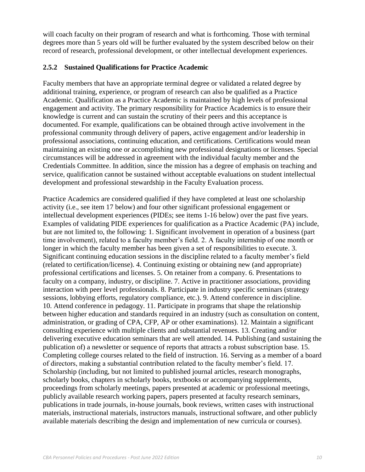will coach faculty on their program of research and what is forthcoming. Those with terminal degrees more than 5 years old will be further evaluated by the system described below on their record of research, professional development, or other intellectual development experiences.

#### **2.5.2 Sustained Qualifications for Practice Academic**

Faculty members that have an appropriate terminal degree or validated a related degree by additional training, experience, or program of research can also be qualified as a Practice Academic. Qualification as a Practice Academic is maintained by high levels of professional engagement and activity. The primary responsibility for Practice Academics is to ensure their knowledge is current and can sustain the scrutiny of their peers and this acceptance is documented. For example, qualifications can be obtained through active involvement in the professional community through delivery of papers, active engagement and/or leadership in professional associations, continuing education, and certifications. Certifications would mean maintaining an existing one or accomplishing new professional designations or licenses. Special circumstances will be addressed in agreement with the individual faculty member and the Credentials Committee. In addition, since the mission has a degree of emphasis on teaching and service, qualification cannot be sustained without acceptable evaluations on student intellectual development and professional stewardship in the Faculty Evaluation process.

Practice Academics are considered qualified if they have completed at least one scholarship activity (i.e., see item 17 below) and four other significant professional engagement or intellectual development experiences (PIDEs; see items 1-16 below) over the past five years. Examples of validating PIDE experiences for qualification as a Practice Academic (PA) include, but are not limited to, the following: 1. Significant involvement in operation of a business (part time involvement), related to a faculty member's field. 2. A faculty internship of one month or longer in which the faculty member has been given a set of responsibilities to execute. 3. Significant continuing education sessions in the discipline related to a faculty member's field (related to certification/license). 4. Continuing existing or obtaining new (and appropriate) professional certifications and licenses. 5. On retainer from a company. 6. Presentations to faculty on a company, industry, or discipline. 7. Active in practitioner associations, providing interaction with peer level professionals. 8. Participate in industry specific seminars (strategy sessions, lobbying efforts, regulatory compliance, etc.). 9. Attend conference in discipline. 10. Attend conference in pedagogy. 11. Participate in programs that shape the relationship between higher education and standards required in an industry (such as consultation on content, administration, or grading of CPA, CFP, AP or other examinations). 12. Maintain a significant consulting experience with multiple clients and substantial revenues. 13. Creating and/or delivering executive education seminars that are well attended. 14. Publishing (and sustaining the publication of) a newsletter or sequence of reports that attracts a robust subscription base. 15. Completing college courses related to the field of instruction. 16. Serving as a member of a board of directors, making a substantial contribution related to the faculty member's field. 17. Scholarship (including, but not limited to published journal articles, research monographs, scholarly books, chapters in scholarly books, textbooks or accompanying supplements, proceedings from scholarly meetings, papers presented at academic or professional meetings, publicly available research working papers, papers presented at faculty research seminars, publications in trade journals, in-house journals, book reviews, written cases with instructional materials, instructional materials, instructors manuals, instructional software, and other publicly available materials describing the design and implementation of new curricula or courses).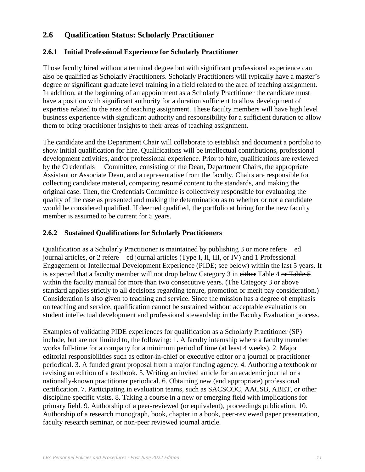## **2.6 Qualification Status: Scholarly Practitioner**

#### **2.6.1 Initial Professional Experience for Scholarly Practitioner**

Those faculty hired without a terminal degree but with significant professional experience can also be qualified as Scholarly Practitioners. Scholarly Practitioners will typically have a master's degree or significant graduate level training in a field related to the area of teaching assignment. In addition, at the beginning of an appointment as a Scholarly Practitioner the candidate must have a position with significant authority for a duration sufficient to allow development of expertise related to the area of teaching assignment. These faculty members will have high level business experience with significant authority and responsibility for a sufficient duration to allow them to bring practitioner insights to their areas of teaching assignment.

The candidate and the Department Chair will collaborate to establish and document a portfolio to show initial qualification for hire. Qualifications will be intellectual contributions, professional development activities, and/or professional experience. Prior to hire, qualifications are reviewed by the Credentials Committee, consisting of the Dean, Department Chairs, the appropriate Assistant or Associate Dean, and a representative from the faculty. Chairs are responsible for collecting candidate material, comparing resumé content to the standards, and making the original case. Then, the Credentials Committee is collectively responsible for evaluating the quality of the case as presented and making the determination as to whether or not a candidate would be considered qualified. If deemed qualified, the portfolio at hiring for the new faculty member is assumed to be current for 5 years.

#### **2.6.2 Sustained Qualifications for Scholarly Practitioners**

Qualification as a Scholarly Practitioner is maintained by publishing 3 or more refere ed journal articles, or 2 refere ed journal articles (Type I, II, III, or IV) and 1 Professional Engagement or Intellectual Development Experience (PIDE; see below) within the last 5 years. It is expected that a faculty member will not drop below Category 3 in either Table 4 or Table 5 within the faculty manual for more than two consecutive years. (The Category 3 or above standard applies strictly to all decisions regarding tenure, promotion or merit pay consideration.) Consideration is also given to teaching and service. Since the mission has a degree of emphasis on teaching and service, qualification cannot be sustained without acceptable evaluations on student intellectual development and professional stewardship in the Faculty Evaluation process.

Examples of validating PIDE experiences for qualification as a Scholarly Practitioner (SP) include, but are not limited to, the following: 1. A faculty internship where a faculty member works full-time for a company for a minimum period of time (at least 4 weeks). 2. Major editorial responsibilities such as editor-in-chief or executive editor or a journal or practitioner periodical. 3. A funded grant proposal from a major funding agency. 4. Authoring a textbook or revising an edition of a textbook. 5. Writing an invited article for an academic journal or a nationally-known practitioner periodical. 6. Obtaining new (and appropriate) professional certification. 7. Participating in evaluation teams, such as SACSCOC, AACSB, ABET, or other discipline specific visits. 8. Taking a course in a new or emerging field with implications for primary field. 9. Authorship of a peer-reviewed (or equivalent), proceedings publication. 10. Authorship of a research monograph, book, chapter in a book, peer-reviewed paper presentation, faculty research seminar, or non-peer reviewed journal article.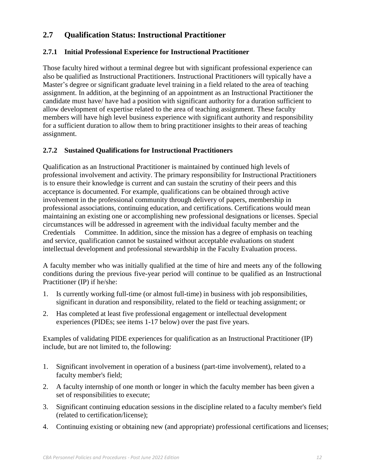## **2.7 Qualification Status: Instructional Practitioner**

## **2.7.1 Initial Professional Experience for Instructional Practitioner**

Those faculty hired without a terminal degree but with significant professional experience can also be qualified as Instructional Practitioners. Instructional Practitioners will typically have a Master's degree or significant graduate level training in a field related to the area of teaching assignment. In addition, at the beginning of an appointment as an Instructional Practitioner the candidate must have/ have had a position with significant authority for a duration sufficient to allow development of expertise related to the area of teaching assignment. These faculty members will have high level business experience with significant authority and responsibility for a sufficient duration to allow them to bring practitioner insights to their areas of teaching assignment.

## **2.7.2 Sustained Qualifications for Instructional Practitioners**

Qualification as an Instructional Practitioner is maintained by continued high levels of professional involvement and activity. The primary responsibility for Instructional Practitioners is to ensure their knowledge is current and can sustain the scrutiny of their peers and this acceptance is documented. For example, qualifications can be obtained through active involvement in the professional community through delivery of papers, membership in professional associations, continuing education, and certifications. Certifications would mean maintaining an existing one or accomplishing new professional designations or licenses. Special circumstances will be addressed in agreement with the individual faculty member and the Credentials Committee. In addition, since the mission has a degree of emphasis on teaching and service, qualification cannot be sustained without acceptable evaluations on student intellectual development and professional stewardship in the Faculty Evaluation process.

A faculty member who was initially qualified at the time of hire and meets any of the following conditions during the previous five-year period will continue to be qualified as an Instructional Practitioner (IP) if he/she:

- 1. Is currently working full-time (or almost full-time) in business with job responsibilities, significant in duration and responsibility, related to the field or teaching assignment; or
- 2. Has completed at least five professional engagement or intellectual development experiences (PIDEs; see items 1-17 below) over the past five years.

Examples of validating PIDE experiences for qualification as an Instructional Practitioner (IP) include, but are not limited to, the following:

- 1. Significant involvement in operation of a business (part-time involvement), related to a faculty member's field;
- 2. A faculty internship of one month or longer in which the faculty member has been given a set of responsibilities to execute;
- 3. Significant continuing education sessions in the discipline related to a faculty member's field (related to certification/license);
- 4. Continuing existing or obtaining new (and appropriate) professional certifications and licenses;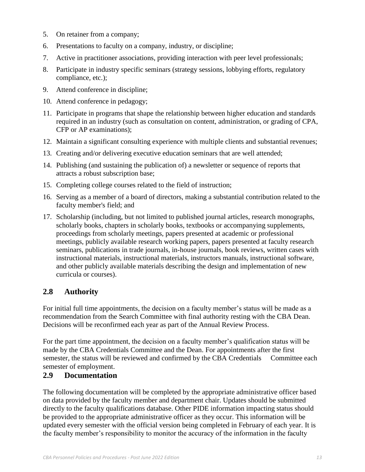- 5. On retainer from a company;
- 6. Presentations to faculty on a company, industry, or discipline;
- 7. Active in practitioner associations, providing interaction with peer level professionals;
- 8. Participate in industry specific seminars (strategy sessions, lobbying efforts, regulatory compliance, etc.);
- 9. Attend conference in discipline;
- 10. Attend conference in pedagogy;
- 11. Participate in programs that shape the relationship between higher education and standards required in an industry (such as consultation on content, administration, or grading of CPA, CFP or AP examinations);
- 12. Maintain a significant consulting experience with multiple clients and substantial revenues;
- 13. Creating and/or delivering executive education seminars that are well attended;
- 14. Publishing (and sustaining the publication of) a newsletter or sequence of reports that attracts a robust subscription base;
- 15. Completing college courses related to the field of instruction;
- 16. Serving as a member of a board of directors, making a substantial contribution related to the faculty member's field; and
- 17. Scholarship (including, but not limited to published journal articles, research monographs, scholarly books, chapters in scholarly books, textbooks or accompanying supplements, proceedings from scholarly meetings, papers presented at academic or professional meetings, publicly available research working papers, papers presented at faculty research seminars, publications in trade journals, in-house journals, book reviews, written cases with instructional materials, instructional materials, instructors manuals, instructional software, and other publicly available materials describing the design and implementation of new curricula or courses).

## **2.8 Authority**

For initial full time appointments, the decision on a faculty member's status will be made as a recommendation from the Search Committee with final authority resting with the CBA Dean. Decisions will be reconfirmed each year as part of the Annual Review Process.

For the part time appointment, the decision on a faculty member's qualification status will be made by the CBA Credentials Committee and the Dean. For appointments after the first semester, the status will be reviewed and confirmed by the CBA Credentials Committee each semester of employment.

## **2.9 Documentation**

The following documentation will be completed by the appropriate administrative officer based on data provided by the faculty member and department chair. Updates should be submitted directly to the faculty qualifications database. Other PIDE information impacting status should be provided to the appropriate administrative officer as they occur. This information will be updated every semester with the official version being completed in February of each year. It is the faculty member's responsibility to monitor the accuracy of the information in the faculty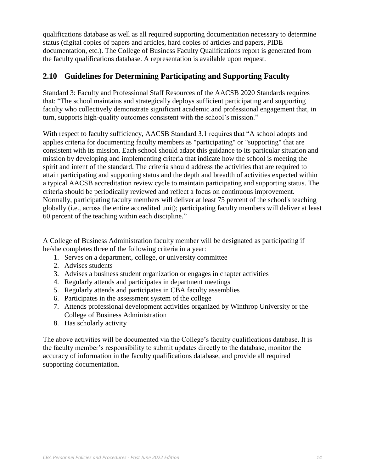qualifications database as well as all required supporting documentation necessary to determine status (digital copies of papers and articles, hard copies of articles and papers, PIDE documentation, etc.). The College of Business Faculty Qualifications report is generated from the faculty qualifications database. A representation is available upon request.

# **2.10 Guidelines for Determining Participating and Supporting Faculty**

Standard 3: Faculty and Professional Staff Resources of the AACSB 2020 Standards requires that: "The school maintains and strategically deploys sufficient participating and supporting faculty who collectively demonstrate significant academic and professional engagement that, in turn, supports high-quality outcomes consistent with the school's mission."

With respect to faculty sufficiency, AACSB Standard 3.1 requires that "A school adopts and applies criteria for documenting faculty members as "participating" or "supporting" that are consistent with its mission. Each school should adapt this guidance to its particular situation and mission by developing and implementing criteria that indicate how the school is meeting the spirit and intent of the standard. The criteria should address the activities that are required to attain participating and supporting status and the depth and breadth of activities expected within a typical AACSB accreditation review cycle to maintain participating and supporting status. The criteria should be periodically reviewed and reflect a focus on continuous improvement. Normally, participating faculty members will deliver at least 75 percent of the school's teaching globally (i.e., across the entire accredited unit); participating faculty members will deliver at least 60 percent of the teaching within each discipline."

A College of Business Administration faculty member will be designated as participating if he/she completes three of the following criteria in a year:

- 1. Serves on a department, college, or university committee
- 2. Advises students
- 3. Advises a business student organization or engages in chapter activities
- 4. Regularly attends and participates in department meetings
- 5. Regularly attends and participates in CBA faculty assemblies
- 6. Participates in the assessment system of the college
- 7. Attends professional development activities organized by Winthrop University or the College of Business Administration
- 8. Has scholarly activity

The above activities will be documented via the College's faculty qualifications database. It is the faculty member's responsibility to submit updates directly to the database, monitor the accuracy of information in the faculty qualifications database, and provide all required supporting documentation.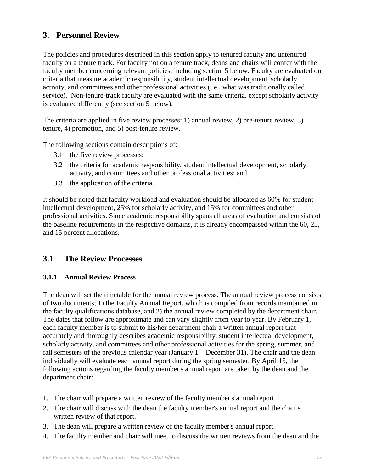## **3. Personnel Review**

The policies and procedures described in this section apply to tenured faculty and untenured faculty on a tenure track. For faculty not on a tenure track, deans and chairs will confer with the faculty member concerning relevant policies, including section 5 below. Faculty are evaluated on criteria that measure academic responsibility, student intellectual development, scholarly activity, and committees and other professional activities (i.e., what was traditionally called service). Non-tenure-track faculty are evaluated with the same criteria, except scholarly activity is evaluated differently (see section 5 below).

The criteria are applied in five review processes: 1) annual review, 2) pre-tenure review, 3) tenure, 4) promotion, and 5) post-tenure review.

The following sections contain descriptions of:

- 3.1 the five review processes;
- 3.2 the criteria for academic responsibility, student intellectual development, scholarly activity, and committees and other professional activities; and
- 3.3 the application of the criteria.

It should be noted that faculty workload and evaluation should be allocated as 60% for student intellectual development, 25% for scholarly activity, and 15% for committees and other professional activities. Since academic responsibility spans all areas of evaluation and consists of the baseline requirements in the respective domains, it is already encompassed within the 60, 25, and 15 percent allocations.

#### **3.1 The Review Processes**

#### **3.1.1 Annual Review Process**

The dean will set the timetable for the annual review process. The annual review process consists of two documents; 1) the Faculty Annual Report, which is compiled from records maintained in the faculty qualifications database, and 2) the annual review completed by the department chair. The dates that follow are approximate and can vary slightly from year to year. By February 1, each faculty member is to submit to his/her department chair a written annual report that accurately and thoroughly describes academic responsibility, student intellectual development, scholarly activity, and committees and other professional activities for the spring, summer, and fall semesters of the previous calendar year (January  $1 -$  December 31). The chair and the dean individually will evaluate each annual report during the spring semester. By April 15, the following actions regarding the faculty member's annual report are taken by the dean and the department chair:

- 1. The chair will prepare a written review of the faculty member's annual report.
- 2. The chair will discuss with the dean the faculty member's annual report and the chair's written review of that report.
- 3. The dean will prepare a written review of the faculty member's annual report.
- 4. The faculty member and chair will meet to discuss the written reviews from the dean and the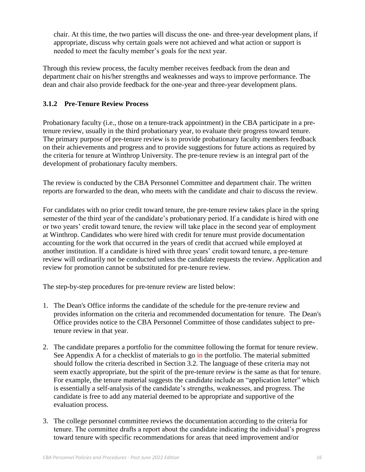chair. At this time, the two parties will discuss the one- and three-year development plans, if appropriate, discuss why certain goals were not achieved and what action or support is needed to meet the faculty member's goals for the next year.

Through this review process, the faculty member receives feedback from the dean and department chair on his/her strengths and weaknesses and ways to improve performance. The dean and chair also provide feedback for the one-year and three-year development plans.

## **3.1.2 Pre-Tenure Review Process**

Probationary faculty (i.e., those on a tenure-track appointment) in the CBA participate in a pretenure review, usually in the third probationary year, to evaluate their progress toward tenure. The primary purpose of pre-tenure review is to provide probationary faculty members feedback on their achievements and progress and to provide suggestions for future actions as required by the criteria for tenure at Winthrop University. The pre-tenure review is an integral part of the development of probationary faculty members.

The review is conducted by the CBA Personnel Committee and department chair. The written reports are forwarded to the dean, who meets with the candidate and chair to discuss the review.

For candidates with no prior credit toward tenure, the pre-tenure review takes place in the spring semester of the third year of the candidate's probationary period. If a candidate is hired with one or two years' credit toward tenure, the review will take place in the second year of employment at Winthrop. Candidates who were hired with credit for tenure must provide documentation accounting for the work that occurred in the years of credit that accrued while employed at another institution. If a candidate is hired with three years' credit toward tenure, a pre-tenure review will ordinarily not be conducted unless the candidate requests the review. Application and review for promotion cannot be substituted for pre-tenure review.

The step-by-step procedures for pre-tenure review are listed below:

- 1. The Dean's Office informs the candidate of the schedule for the pre-tenure review and provides information on the criteria and recommended documentation for tenure. The Dean's Office provides notice to the CBA Personnel Committee of those candidates subject to pretenure review in that year.
- 2. The candidate prepares a portfolio for the committee following the format for tenure review. See Appendix A for a checklist of materials to go in the portfolio. The material submitted should follow the criteria described in Section 3.2. The language of these criteria may not seem exactly appropriate, but the spirit of the pre-tenure review is the same as that for tenure. For example, the tenure material suggests the candidate include an "application letter" which is essentially a self-analysis of the candidate's strengths, weaknesses, and progress. The candidate is free to add any material deemed to be appropriate and supportive of the evaluation process.
- 3. The college personnel committee reviews the documentation according to the criteria for tenure. The committee drafts a report about the candidate indicating the individual's progress toward tenure with specific recommendations for areas that need improvement and/or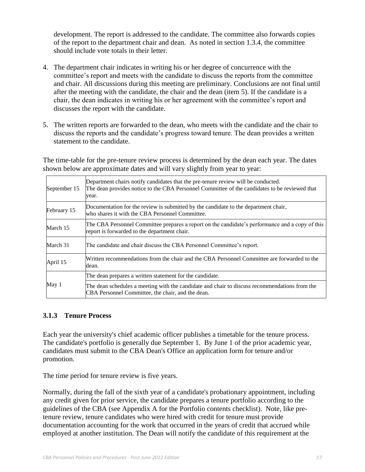development. The report is addressed to the candidate. The committee also forwards copies of the report to the department chair and dean. As noted in section 1.3.4, the committee should include vote totals in their letter.

- 4. The department chair indicates in writing his or her degree of concurrence with the committee's report and meets with the candidate to discuss the reports from the committee and chair. All discussions during this meeting are preliminary. Conclusions are not final until after the meeting with the candidate, the chair and the dean (item 5). If the candidate is a chair, the dean indicates in writing his or her agreement with the committee's report and discusses the report with the candidate.
- 5. The written reports are forwarded to the dean, who meets with the candidate and the chair to discuss the reports and the candidate's progress toward tenure. The dean provides a written statement to the candidate.

The time-table for the pre-tenure review process is determined by the dean each year. The dates shown below are approximate dates and will vary slightly from year to year:

| September 15 | Department chairs notify candidates that the pre-tenure review will be conducted.<br>The dean provides notice to the CBA Personnel Committee of the candidates to be reviewed that<br>year. |
|--------------|---------------------------------------------------------------------------------------------------------------------------------------------------------------------------------------------|
| February 15  | Documentation for the review is submitted by the candidate to the department chair,<br>who shares it with the CBA Personnel Committee.                                                      |
| March 15     | The CBA Personnel Committee prepares a report on the candidate's performance and a copy of this<br>report is forwarded to the department chair.                                             |
| March 31     | The candidate and chair discuss the CBA Personnel Committee's report.                                                                                                                       |
| April 15     | Written recommendations from the chair and the CBA Personnel Committee are forwarded to the<br>dean.                                                                                        |
|              | The dean prepares a written statement for the candidate.                                                                                                                                    |
| May 1        | The dean schedules a meeting with the candidate and chair to discuss recommendations from the<br>CBA Personnel Committee, the chair, and the dean.                                          |

#### **3.1.3 Tenure Process**

Each year the university's chief academic officer publishes a timetable for the tenure process. The candidate's portfolio is generally due September 1. By June 1 of the prior academic year, candidates must submit to the CBA Dean's Office an application form for tenure and/or promotion.

The time period for tenure review is five years.

Normally, during the fall of the sixth year of a candidate's probationary appointment, including any credit given for prior service, the candidate prepares a tenure portfolio according to the guidelines of the CBA (see Appendix A for the Portfolio contents checklist). Note, like pretenure review, tenure candidates who were hired with credit for tenure must provide documentation accounting for the work that occurred in the years of credit that accrued while employed at another institution. The Dean will notify the candidate of this requirement at the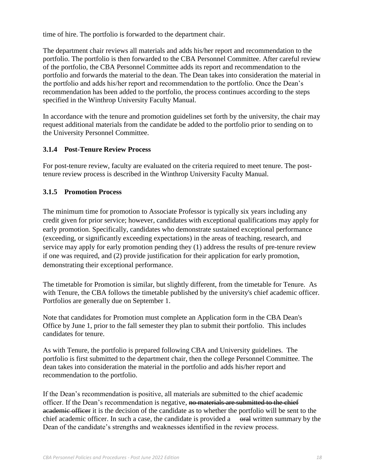time of hire. The portfolio is forwarded to the department chair.

The department chair reviews all materials and adds his/her report and recommendation to the portfolio. The portfolio is then forwarded to the CBA Personnel Committee. After careful review of the portfolio, the CBA Personnel Committee adds its report and recommendation to the portfolio and forwards the material to the dean. The Dean takes into consideration the material in the portfolio and adds his/her report and recommendation to the portfolio. Once the Dean's recommendation has been added to the portfolio, the process continues according to the steps specified in the Winthrop University Faculty Manual.

In accordance with the tenure and promotion guidelines set forth by the university, the chair may request additional materials from the candidate be added to the portfolio prior to sending on to the University Personnel Committee.

#### **3.1.4 Post-Tenure Review Process**

For post-tenure review, faculty are evaluated on the criteria required to meet tenure. The posttenure review process is described in the Winthrop University Faculty Manual.

#### **3.1.5 Promotion Process**

The minimum time for promotion to Associate Professor is typically six years including any credit given for prior service; however, candidates with exceptional qualifications may apply for early promotion. Specifically, candidates who demonstrate sustained exceptional performance (exceeding, or significantly exceeding expectations) in the areas of teaching, research, and service may apply for early promotion pending they (1) address the results of pre-tenure review if one was required, and (2) provide justification for their application for early promotion, demonstrating their exceptional performance.

The timetable for Promotion is similar, but slightly different, from the timetable for Tenure. As with Tenure, the CBA follows the timetable published by the university's chief academic officer. Portfolios are generally due on September 1.

Note that candidates for Promotion must complete an Application form in the CBA Dean's Office by June 1, prior to the fall semester they plan to submit their portfolio. This includes candidates for tenure.

As with Tenure, the portfolio is prepared following CBA and University guidelines. The portfolio is first submitted to the department chair, then the college Personnel Committee. The dean takes into consideration the material in the portfolio and adds his/her report and recommendation to the portfolio.

If the Dean's recommendation is positive, all materials are submitted to the chief academic officer. If the Dean's recommendation is negative, no materials are submitted to the chief academic officer it is the decision of the candidate as to whether the portfolio will be sent to the chief academic officer. In such a case, the candidate is provided a  $\theta$  oral written summary by the Dean of the candidate's strengths and weaknesses identified in the review process.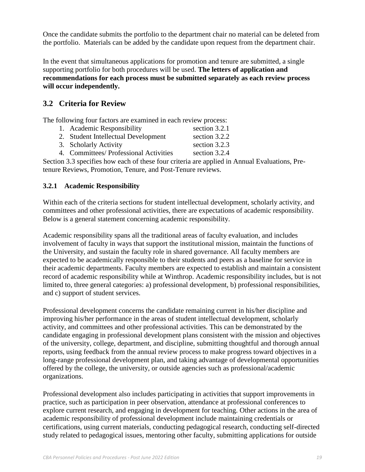Once the candidate submits the portfolio to the department chair no material can be deleted from the portfolio. Materials can be added by the candidate upon request from the department chair.

In the event that simultaneous applications for promotion and tenure are submitted, a single supporting portfolio for both procedures will be used. **The letters of application and recommendations for each process must be submitted separately as each review process will occur independently.**

## **3.2 Criteria for Review**

The following four factors are examined in each review process:

- 1. Academic Responsibility section 3.2.1 2. Student Intellectual Development section 3.2.2
- 3. Scholarly Activity section 3.2.3
- 4. Committees/ Professional Activities section 3.2.4

Section 3.3 specifies how each of these four criteria are applied in Annual Evaluations, Pretenure Reviews, Promotion, Tenure, and Post-Tenure reviews.

#### **3.2.1 Academic Responsibility**

Within each of the criteria sections for student intellectual development, scholarly activity, and committees and other professional activities, there are expectations of academic responsibility. Below is a general statement concerning academic responsibility.

Academic responsibility spans all the traditional areas of faculty evaluation, and includes involvement of faculty in ways that support the institutional mission, maintain the functions of the University, and sustain the faculty role in shared governance. All faculty members are expected to be academically responsible to their students and peers as a baseline for service in their academic departments. Faculty members are expected to establish and maintain a consistent record of academic responsibility while at Winthrop. Academic responsibility includes, but is not limited to, three general categories: a) professional development, b) professional responsibilities, and c) support of student services.

Professional development concerns the candidate remaining current in his/her discipline and improving his/her performance in the areas of student intellectual development, scholarly activity, and committees and other professional activities. This can be demonstrated by the candidate engaging in professional development plans consistent with the mission and objectives of the university, college, department, and discipline, submitting thoughtful and thorough annual reports, using feedback from the annual review process to make progress toward objectives in a long-range professional development plan, and taking advantage of developmental opportunities offered by the college, the university, or outside agencies such as professional/academic organizations.

Professional development also includes participating in activities that support improvements in practice, such as participation in peer observation, attendance at professional conferences to explore current research, and engaging in development for teaching. Other actions in the area of academic responsibility of professional development include maintaining credentials or certifications, using current materials, conducting pedagogical research, conducting self-directed study related to pedagogical issues, mentoring other faculty, submitting applications for outside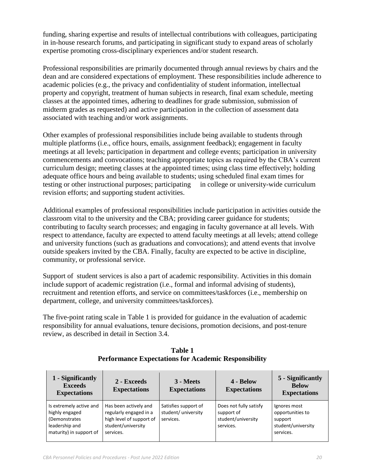funding, sharing expertise and results of intellectual contributions with colleagues, participating in in-house research forums, and participating in significant study to expand areas of scholarly expertise promoting cross-disciplinary experiences and/or student research.

Professional responsibilities are primarily documented through annual reviews by chairs and the dean and are considered expectations of employment. These responsibilities include adherence to academic policies (e.g., the privacy and confidentiality of student information, intellectual property and copyright, treatment of human subjects in research, final exam schedule, meeting classes at the appointed times, adhering to deadlines for grade submission, submission of midterm grades as requested) and active participation in the collection of assessment data associated with teaching and/or work assignments.

Other examples of professional responsibilities include being available to students through multiple platforms (i.e., office hours, emails, assignment feedback); engagement in faculty meetings at all levels; participation in department and college events; participation in university commencements and convocations; teaching appropriate topics as required by the CBA's current curriculum design; meeting classes at the appointed times; using class time effectively; holding adequate office hours and being available to students; using scheduled final exam times for testing or other instructional purposes; participating in college or university-wide curriculum revision efforts; and supporting student activities.

Additional examples of professional responsibilities include participation in activities outside the classroom vital to the university and the CBA; providing career guidance for students; contributing to faculty search processes; and engaging in faculty governance at all levels. With respect to attendance, faculty are expected to attend faculty meetings at all levels; attend college and university functions (such as graduations and convocations); and attend events that involve outside speakers invited by the CBA. Finally, faculty are expected to be active in discipline, community, or professional service.

Support of student services is also a part of academic responsibility. Activities in this domain include support of academic registration (i.e., formal and informal advising of students), recruitment and retention efforts, and service on committees/taskforces (i.e., membership on department, college, and university committees/taskforces).

The five-point rating scale in Table 1 is provided for guidance in the evaluation of academic responsibility for annual evaluations, tenure decisions, promotion decisions, and post-tenure review, as described in detail in Section 3.4.

| 1 - Significantly<br><b>Exceeds</b><br><b>Expectations</b>                                              | 2 - Exceeds<br><b>Expectations</b>                                                                             | 3 - Meets<br><b>Expectations</b>                         | 4 - Below<br><b>Expectations</b>                                        | 5 - Significantly<br><b>Below</b><br><b>Expectations</b>                       |
|---------------------------------------------------------------------------------------------------------|----------------------------------------------------------------------------------------------------------------|----------------------------------------------------------|-------------------------------------------------------------------------|--------------------------------------------------------------------------------|
| Is extremely active and<br>highly engaged<br>(Demonstrates<br>leadership and<br>maturity) in support of | Has been actively and<br>regularly engaged in a<br>high level of support of<br>student/university<br>services. | Satisfies support of<br>student/ university<br>services. | Does not fully satisfy<br>support of<br>student/university<br>services. | Ignores most<br>opportunities to<br>support<br>student/university<br>services. |

**Table 1 Performance Expectations for Academic Responsibility**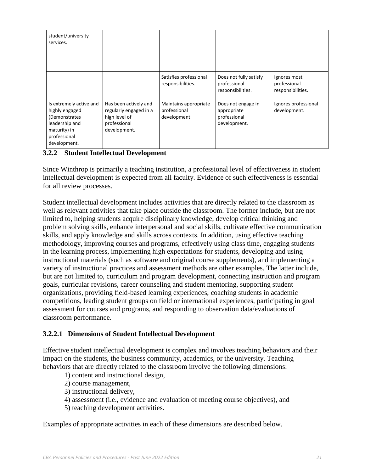| student/university<br>services.                                                                                               |                                                                                                  |                                                       |                                                                   |                                                   |
|-------------------------------------------------------------------------------------------------------------------------------|--------------------------------------------------------------------------------------------------|-------------------------------------------------------|-------------------------------------------------------------------|---------------------------------------------------|
|                                                                                                                               |                                                                                                  | Satisfies professional<br>responsibilities.           | Does not fully satisfy<br>professional<br>responsibilities.       | Ignores most<br>professional<br>responsibilities. |
| Is extremely active and<br>highly engaged<br>(Demonstrates)<br>leadership and<br>maturity) in<br>professional<br>development. | Has been actively and<br>regularly engaged in a<br>high level of<br>professional<br>development. | Maintains appropriate<br>professional<br>development. | Does not engage in<br>appropriate<br>professional<br>development. | Ignores professional<br>development.              |

### **3.2.2 Student Intellectual Development**

Since Winthrop is primarily a teaching institution, a professional level of effectiveness in student intellectual development is expected from all faculty. Evidence of such effectiveness is essential for all review processes.

Student intellectual development includes activities that are directly related to the classroom as well as relevant activities that take place outside the classroom. The former include, but are not limited to, helping students acquire disciplinary knowledge, develop critical thinking and problem solving skills, enhance interpersonal and social skills, cultivate effective communication skills, and apply knowledge and skills across contexts. In addition, using effective teaching methodology, improving courses and programs, effectively using class time, engaging students in the learning process, implementing high expectations for students, developing and using instructional materials (such as software and original course supplements), and implementing a variety of instructional practices and assessment methods are other examples. The latter include, but are not limited to, curriculum and program development, connecting instruction and program goals, curricular revisions, career counseling and student mentoring, supporting student organizations, providing field-based learning experiences, coaching students in academic competitions, leading student groups on field or international experiences, participating in goal assessment for courses and programs, and responding to observation data/evaluations of classroom performance.

#### **3.2.2.1 Dimensions of Student Intellectual Development**

Effective student intellectual development is complex and involves teaching behaviors and their impact on the students, the business community, academics, or the university. Teaching behaviors that are directly related to the classroom involve the following dimensions:

- 1) content and instructional design,
- 2) course management,
- 3) instructional delivery,
- 4) assessment (i.e., evidence and evaluation of meeting course objectives), and
- 5) teaching development activities.

Examples of appropriate activities in each of these dimensions are described below.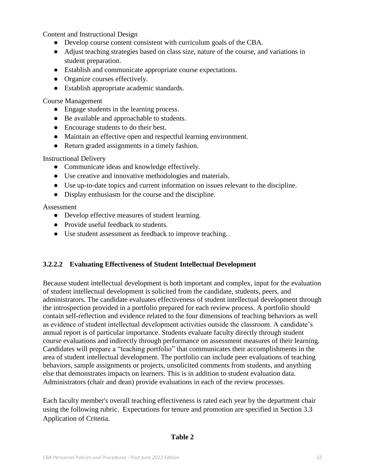Content and Instructional Design

- Develop course content consistent with curriculum goals of the CBA.
- Adjust teaching strategies based on class size, nature of the course, and variations in student preparation.
- Establish and communicate appropriate course expectations.
- Organize courses effectively.
- Establish appropriate academic standards.

#### Course Management

- Engage students in the learning process.
- Be available and approachable to students.
- Encourage students to do their best.
- Maintain an effective open and respectful learning environment.
- Return graded assignments in a timely fashion.

#### Instructional Delivery

- Communicate ideas and knowledge effectively.
- Use creative and innovative methodologies and materials.
- Use up-to-date topics and current information on issues relevant to the discipline.
- Display enthusiasm for the course and the discipline.

#### Assessment

- Develop effective measures of student learning.
- Provide useful feedback to students.
- Use student assessment as feedback to improve teaching.

#### **3.2.2.2 Evaluating Effectiveness of Student Intellectual Development**

Because student intellectual development is both important and complex, input for the evaluation of student intellectual development is solicited from the candidate, students, peers, and administrators. The candidate evaluates effectiveness of student intellectual development through the introspection provided in a portfolio prepared for each review process. A portfolio should contain self-reflection and evidence related to the four dimensions of teaching behaviors as well as evidence of student intellectual development activities outside the classroom. A candidate's annual report is of particular importance. Students evaluate faculty directly through student course evaluations and indirectly through performance on assessment measures of their learning. Candidates will prepare a "teaching portfolio" that communicates their accomplishments in the area of student intellectual development. The portfolio can include peer evaluations of teaching behaviors, sample assignments or projects, unsolicited comments from students, and anything else that demonstrates impacts on learners. This is in addition to student evaluation data. Administrators (chair and dean) provide evaluations in each of the review processes.

Each faculty member's overall teaching effectiveness is rated each year by the department chair using the following rubric. Expectations for tenure and promotion are specified in Section 3.3 Application of Criteria.

#### **Table 2**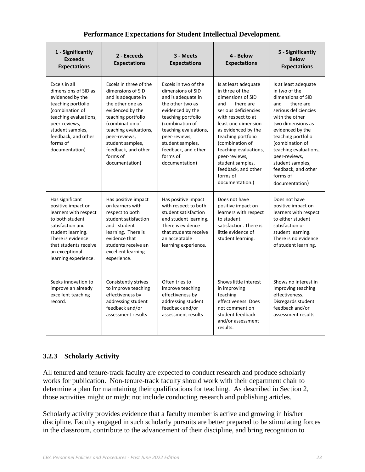|  |  |  |  | Performance Expectations for Student Intellectual Development. |
|--|--|--|--|----------------------------------------------------------------|
|--|--|--|--|----------------------------------------------------------------|

| 1 - Significantly<br><b>Exceeds</b><br><b>Expectations</b>                                                                                                                                                            | 2 - Exceeds<br><b>Expectations</b>                                                                                                                                                                                                                                    | 3 - Meets<br><b>Expectations</b>                                                                                                                                                                                                                                    | 4 - Below<br><b>Expectations</b>                                                                                                                                                                                                                                                                                                          | 5 - Significantly<br><b>Below</b><br><b>Expectations</b>                                                                                                                                                                                                                                                                      |
|-----------------------------------------------------------------------------------------------------------------------------------------------------------------------------------------------------------------------|-----------------------------------------------------------------------------------------------------------------------------------------------------------------------------------------------------------------------------------------------------------------------|---------------------------------------------------------------------------------------------------------------------------------------------------------------------------------------------------------------------------------------------------------------------|-------------------------------------------------------------------------------------------------------------------------------------------------------------------------------------------------------------------------------------------------------------------------------------------------------------------------------------------|-------------------------------------------------------------------------------------------------------------------------------------------------------------------------------------------------------------------------------------------------------------------------------------------------------------------------------|
| Excels in all<br>dimensions of SID as<br>evidenced by the<br>teaching portfolio<br>(combination of<br>teaching evaluations,<br>peer-reviews,<br>student samples,<br>feedback, and other<br>forms of<br>documentation) | Excels in three of the<br>dimensions of SID<br>and is adequate in<br>the other one as<br>evidenced by the<br>teaching portfolio<br>(combination of<br>teaching evaluations,<br>peer-reviews,<br>student samples,<br>feedback, and other<br>forms of<br>documentation) | Excels in two of the<br>dimensions of SID<br>and is adequate in<br>the other two as<br>evidenced by the<br>teaching portfolio<br>(combination of<br>teaching evaluations,<br>peer-reviews,<br>student samples,<br>feedback, and other<br>forms of<br>documentation) | Is at least adequate<br>in three of the<br>dimensions of SID<br>there are<br>and<br>serious deficiencies<br>with respect to at<br>least one dimension<br>as evidenced by the<br>teaching portfolio<br>(combination of<br>teaching evaluations,<br>peer-reviews,<br>student samples,<br>feedback, and other<br>forms of<br>documentation.) | Is at least adequate<br>in two of the<br>dimensions of SID<br>there are<br>and<br>serious deficiencies<br>with the other<br>two dimensions as<br>evidenced by the<br>teaching portfolio<br>(combination of<br>teaching evaluations,<br>peer-reviews,<br>student samples,<br>feedback, and other<br>forms of<br>documentation) |
| Has significant<br>positive impact on<br>learners with respect<br>to both student<br>satisfaction and<br>student learning.<br>There is evidence<br>that students receive<br>an exceptional<br>learning experience.    | Has positive impact<br>on learners with<br>respect to both<br>student satisfaction<br>and student<br>learning. There is<br>evidence that<br>students receive an<br>excellent learning<br>experience.                                                                  | Has positive impact<br>with respect to both<br>student satisfaction<br>and student learning.<br>There is evidence<br>that students receive<br>an acceptable<br>learning experience.                                                                                 | Does not have<br>positive impact on<br>learners with respect<br>to student<br>satisfaction. There is<br>little evidence of<br>student learning.                                                                                                                                                                                           | Does not have<br>positive impact on<br>learners with respect<br>to either student<br>satisfaction or<br>student learning.<br>There is no evidence<br>of student learning.                                                                                                                                                     |
| Seeks innovation to<br>improve an already<br>excellent teaching<br>record.                                                                                                                                            | Consistently strives<br>to improve teaching<br>effectiveness by<br>addressing student<br>feedback and/or<br>assessment results                                                                                                                                        | Often tries to<br>improve teaching<br>effectiveness by<br>addressing student<br>feedback and/or<br>assessment results                                                                                                                                               | Shows little interest<br>in improving<br>teaching<br>effectiveness. Does<br>not comment on<br>student feedback<br>and/or assessment<br>results.                                                                                                                                                                                           | Shows no interest in<br>improving teaching<br>effectiveness.<br>Disregards student<br>feedback and/or<br>assessment results.                                                                                                                                                                                                  |

#### **3.2.3 Scholarly Activity**

All tenured and tenure-track faculty are expected to conduct research and produce scholarly works for publication. Non-tenure-track faculty should work with their department chair to determine a plan for maintaining their qualifications for teaching. As described in Section 2, those activities might or might not include conducting research and publishing articles.

Scholarly activity provides evidence that a faculty member is active and growing in his/her discipline. Faculty engaged in such scholarly pursuits are better prepared to be stimulating forces in the classroom, contribute to the advancement of their discipline, and bring recognition to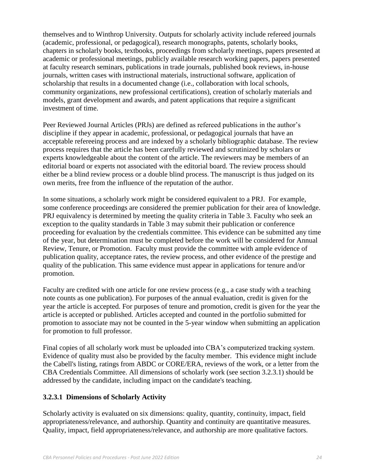themselves and to Winthrop University. Outputs for scholarly activity include refereed journals (academic, professional, or pedagogical), research monographs, patents, scholarly books, chapters in scholarly books, textbooks, proceedings from scholarly meetings, papers presented at academic or professional meetings, publicly available research working papers, papers presented at faculty research seminars, publications in trade journals, published book reviews, in-house journals, written cases with instructional materials, instructional software, application of scholarship that results in a documented change (i.e., collaboration with local schools, community organizations, new professional certifications), creation of scholarly materials and models, grant development and awards, and patent applications that require a significant investment of time.

Peer Reviewed Journal Articles (PRJs) are defined as refereed publications in the author's discipline if they appear in academic, professional, or pedagogical journals that have an acceptable refereeing process and are indexed by a scholarly bibliographic database. The review process requires that the article has been carefully reviewed and scrutinized by scholars or experts knowledgeable about the content of the article. The reviewers may be members of an editorial board or experts not associated with the editorial board. The review process should either be a blind review process or a double blind process. The manuscript is thus judged on its own merits, free from the influence of the reputation of the author.

In some situations, a scholarly work might be considered equivalent to a PRJ. For example, some conference proceedings are considered the premier publication for their area of knowledge. PRJ equivalency is determined by meeting the quality criteria in Table 3. Faculty who seek an exception to the quality standards in Table 3 may submit their publication or conference proceeding for evaluation by the credentials committee. This evidence can be submitted any time of the year, but determination must be completed before the work will be considered for Annual Review, Tenure, or Promotion. Faculty must provide the committee with ample evidence of publication quality, acceptance rates, the review process, and other evidence of the prestige and quality of the publication. This same evidence must appear in applications for tenure and/or promotion.

Faculty are credited with one article for one review process (e.g., a case study with a teaching note counts as one publication). For purposes of the annual evaluation, credit is given for the year the article is accepted. For purposes of tenure and promotion, credit is given for the year the article is accepted or published. Articles accepted and counted in the portfolio submitted for promotion to associate may not be counted in the 5-year window when submitting an application for promotion to full professor.

Final copies of all scholarly work must be uploaded into CBA's computerized tracking system. Evidence of quality must also be provided by the faculty member. This evidence might include the Cabell's listing, ratings from ABDC or CORE/ERA, reviews of the work, or a letter from the CBA Credentials Committee. All dimensions of scholarly work (see section 3.2.3.1) should be addressed by the candidate, including impact on the candidate's teaching.

#### **3.2.3.1 Dimensions of Scholarly Activity**

Scholarly activity is evaluated on six dimensions: quality, quantity, continuity, impact, field appropriateness/relevance, and authorship. Quantity and continuity are quantitative measures. Quality, impact, field appropriateness/relevance, and authorship are more qualitative factors.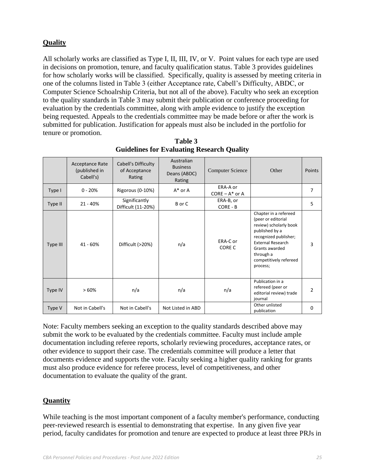## **Quality**

All scholarly works are classified as Type I, II, III, IV, or V. Point values for each type are used in decisions on promotion, tenure, and faculty qualification status. Table 3 provides guidelines for how scholarly works will be classified. Specifically, quality is assessed by meeting criteria in one of the columns listed in Table 3 (either Acceptance rate, Cabell's Difficulty, ABDC, or Computer Science Schoalrship Criteria, but not all of the above). Faculty who seek an exception to the quality standards in Table 3 may submit their publication or conference proceeding for evaluation by the credentials committee, along with ample evidence to justify the exception being requested. Appeals to the credentials committee may be made before or after the work is submitted for publication. Justification for appeals must also be included in the portfolio for tenure or promotion.

|          | <b>Acceptance Rate</b><br>(published in<br>Cabell's) | Cabell's Difficulty<br>of Acceptance<br>Rating | Australian<br><b>Business</b><br>Deans (ABDC)<br>Rating | <b>Computer Science</b>       | Other                                                                                                                                                                                                             | Points   |
|----------|------------------------------------------------------|------------------------------------------------|---------------------------------------------------------|-------------------------------|-------------------------------------------------------------------------------------------------------------------------------------------------------------------------------------------------------------------|----------|
| Type I   | $0 - 20%$                                            | Rigorous (0-10%)                               | $A^*$ or A                                              | ERA-A or<br>$CORE - A^*$ or A |                                                                                                                                                                                                                   | 7        |
| Type II  | $21 - 40%$                                           | Significantly<br>Difficult (11-20%)            | B or C                                                  | ERA-B, or<br>CORE - B         |                                                                                                                                                                                                                   | 5        |
| Type III | 41 - 60%                                             | Difficult (>20%)                               | n/a                                                     | ERA-C or<br>CORE C            | Chapter in a refereed<br>(peer or editorial<br>review) scholarly book<br>published by a<br>recognized publisher;<br><b>External Research</b><br>Grants awarded<br>through a<br>competitively refereed<br>process; | 3        |
| Type IV  | >60%                                                 | n/a                                            | n/a                                                     | n/a                           | Publication in a<br>refereed (peer or<br>editorial review) trade<br>journal                                                                                                                                       | 2        |
| Type V   | Not in Cabell's                                      | Not in Cabell's                                | Not Listed in ABD                                       |                               | Other unlisted<br>publication                                                                                                                                                                                     | $\Omega$ |

 **Table 3 Guidelines for Evaluating Research Quality**

Note: Faculty members seeking an exception to the quality standards described above may submit the work to be evaluated by the credentials committee. Faculty must include ample documentation including referee reports, scholarly reviewing procedures, acceptance rates, or other evidence to support their case. The credentials committee will produce a letter that documents evidence and supports the vote. Faculty seeking a higher quality ranking for grants must also produce evidence for referee process, level of competitiveness, and other documentation to evaluate the quality of the grant.

#### **Quantity**

While teaching is the most important component of a faculty member's performance, conducting peer-reviewed research is essential to demonstrating that expertise. In any given five year period, faculty candidates for promotion and tenure are expected to produce at least three PRJs in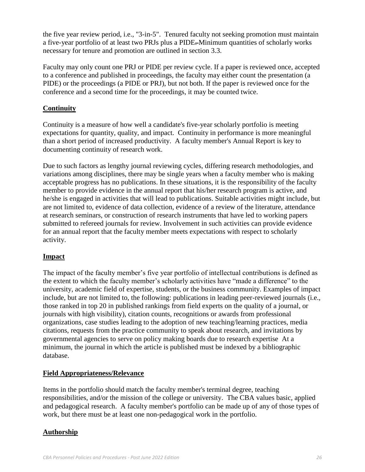the five year review period, i.e., "3-in-5". Tenured faculty not seeking promotion must maintain a five-year portfolio of at least two PRJs plus a PIDE. Minimum quantities of scholarly works necessary for tenure and promotion are outlined in section 3.3.

Faculty may only count one PRJ or PIDE per review cycle. If a paper is reviewed once, accepted to a conference and published in proceedings, the faculty may either count the presentation (a PIDE) or the proceedings (a PIDE or PRJ), but not both. If the paper is reviewed once for the conference and a second time for the proceedings, it may be counted twice.

## **Continuity**

Continuity is a measure of how well a candidate's five-year scholarly portfolio is meeting expectations for quantity, quality, and impact. Continuity in performance is more meaningful than a short period of increased productivity. A faculty member's Annual Report is key to documenting continuity of research work.

Due to such factors as lengthy journal reviewing cycles, differing research methodologies, and variations among disciplines, there may be single years when a faculty member who is making acceptable progress has no publications. In these situations, it is the responsibility of the faculty member to provide evidence in the annual report that his/her research program is active, and he/she is engaged in activities that will lead to publications. Suitable activities might include, but are not limited to, evidence of data collection, evidence of a review of the literature, attendance at research seminars, or construction of research instruments that have led to working papers submitted to refereed journals for review. Involvement in such activities can provide evidence for an annual report that the faculty member meets expectations with respect to scholarly activity.

#### **Impact**

The impact of the faculty member's five year portfolio of intellectual contributions is defined as the extent to which the faculty member's scholarly activities have "made a difference" to the university, academic field of expertise, students, or the business community. Examples of impact include, but are not limited to, the following: publications in leading peer-reviewed journals (i.e., those ranked in top 20 in published rankings from field experts on the quality of a journal, or journals with high visibility), citation counts, recognitions or awards from professional organizations, case studies leading to the adoption of new teaching/learning practices, media citations, requests from the practice community to speak about research, and invitations by governmental agencies to serve on policy making boards due to research expertise At a minimum, the journal in which the article is published must be indexed by a bibliographic database.

#### **Field Appropriateness/Relevance**

Items in the portfolio should match the faculty member's terminal degree, teaching responsibilities, and/or the mission of the college or university. The CBA values basic, applied and pedagogical research. A faculty member's portfolio can be made up of any of those types of work, but there must be at least one non-pedagogical work in the portfolio.

#### **Authorship**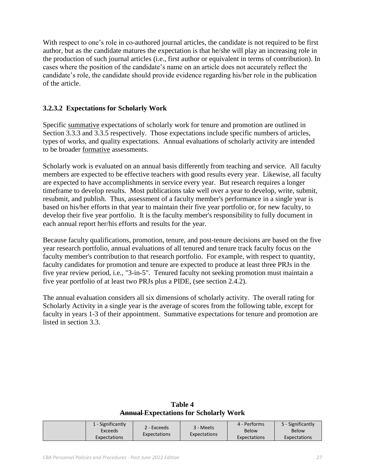With respect to one's role in co-authored journal articles, the candidate is not required to be first author, but as the candidate matures the expectation is that he/she will play an increasing role in the production of such journal articles (i.e., first author or equivalent in terms of contribution). In cases where the position of the candidate's name on an article does not accurately reflect the candidate's role, the candidate should provide evidence regarding his/her role in the publication of the article.

#### **3.2.3.2 Expectations for Scholarly Work**

Specific summative expectations of scholarly work for tenure and promotion are outlined in Section 3.3.3 and 3.3.5 respectively. Those expectations include specific numbers of articles, types of works, and quality expectations. Annual evaluations of scholarly activity are intended to be broader formative assessments.

Scholarly work is evaluated on an annual basis differently from teaching and service. All faculty members are expected to be effective teachers with good results every year. Likewise, all faculty are expected to have accomplishments in service every year. But research requires a longer timeframe to develop results. Most publications take well over a year to develop, write, submit, resubmit, and publish. Thus, assessment of a faculty member's performance in a single year is based on his/her efforts in that year to maintain their five year portfolio or, for new faculty, to develop their five year portfolio. It is the faculty member's responsibility to fully document in each annual report her/his efforts and results for the year.

Because faculty qualifications, promotion, tenure, and post-tenure decisions are based on the five year research portfolio, annual evaluations of all tenured and tenure track faculty focus on the faculty member's contribution to that research portfolio. For example, with respect to quantity, faculty candidates for promotion and tenure are expected to produce at least three PRJs in the five year review period, i.e., "3-in-5". Tenured faculty not seeking promotion must maintain a five year portfolio of at least two PRJs plus a PIDE, (see section 2.4.2).

The annual evaluation considers all six dimensions of scholarly activity. The overall rating for Scholarly Activity in a single year is the average of scores from the following table, except for faculty in years 1-3 of their appointment. Summative expectations for tenure and promotion are listed in section 3.3.

**Table 4 Annual Expectations for Scholarly Work**

|  | - Significantly<br>Exceeds<br><b>Expectations</b> | 2 - Exceeds<br>Expectations | 3 - Meets<br>Expectations | 4 - Performs<br><b>Below</b><br>Expectations | 5 - Significantly<br><b>Below</b><br>Expectations |
|--|---------------------------------------------------|-----------------------------|---------------------------|----------------------------------------------|---------------------------------------------------|
|--|---------------------------------------------------|-----------------------------|---------------------------|----------------------------------------------|---------------------------------------------------|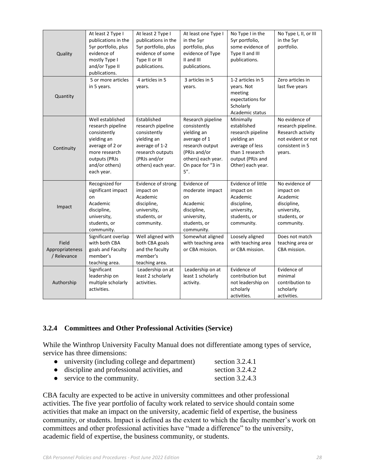| Quality                                 | At least 2 Type I<br>publications in the<br>5yr portfolio, plus<br>evidence of<br>mostly Type I<br>and/or Type II<br>publications.                        | At least 2 Type I<br>publications in the<br>5yr portfolio, plus<br>evidence of some<br>Type II or III<br>publications.                      | At least one Type I<br>in the 5yr<br>portfolio, plus<br>evidence of Type<br>II and III<br>publications.                                                  | No Type I in the<br>5yr portfolio,<br>some evidence of<br>Type II and III<br>publications.                                                  | No Type I, II, or III<br>in the 5yr<br>portfolio.                                                            |
|-----------------------------------------|-----------------------------------------------------------------------------------------------------------------------------------------------------------|---------------------------------------------------------------------------------------------------------------------------------------------|----------------------------------------------------------------------------------------------------------------------------------------------------------|---------------------------------------------------------------------------------------------------------------------------------------------|--------------------------------------------------------------------------------------------------------------|
| Quantity                                | 5 or more articles<br>in 5 years.                                                                                                                         | 4 articles in 5<br>years.                                                                                                                   | 3 articles in 5<br>years.                                                                                                                                | 1-2 articles in 5<br>years. Not<br>meeting<br>expectations for<br>Scholarly<br>Academic status                                              | Zero articles in<br>last five years                                                                          |
| Continuity                              | Well established<br>research pipeline<br>consistently<br>yielding an<br>average of 2 or<br>more research<br>outputs (PRJs<br>and/or others)<br>each year. | Established<br>research pipeline<br>consistently<br>yielding an<br>average of 1-2<br>research outputs<br>(PRJs and/or<br>others) each year. | Research pipeline<br>consistently<br>yielding an<br>average of 1<br>research output<br>(PRJs and/or<br>others) each year.<br>On pace for "3 in<br>$5$ ". | Minimally<br>established<br>research pipeline<br>yielding an<br>average of less<br>than 1 research<br>output (PRJs and<br>Other) each year. | No evidence of<br>research pipeline.<br>Research activity<br>not evident or not<br>consistent in 5<br>years. |
| Impact                                  | Recognized for<br>significant impact<br>on<br>Academic<br>discipline,<br>university,<br>students, or<br>community.                                        | Evidence of strong<br>impact on<br>Academic<br>discipline,<br>university,<br>students, or<br>community.                                     | Evidence of<br>moderate impact<br>on<br>Academic<br>discipline,<br>university,<br>students, or<br>community.                                             | Evidence of little<br>impact on<br>Academic<br>discipline,<br>university,<br>students, or<br>community.                                     | No evidence of<br>impact on<br>Academic<br>discipline,<br>university,<br>students, or<br>community.          |
| Field<br>Appropriateness<br>/ Relevance | Significant overlap<br>with both CBA<br>goals and Faculty<br>member's<br>teaching area.                                                                   | Well aligned with<br>both CBA goals<br>and the faculty<br>member's<br>teaching area.                                                        | Somewhat aligned<br>with teaching area<br>or CBA mission.                                                                                                | Loosely aligned<br>with teaching area<br>or CBA mission.                                                                                    | Does not match<br>teaching area or<br>CBA mission.                                                           |
| Authorship                              | Significant<br>leadership on<br>multiple scholarly<br>activities.                                                                                         | Leadership on at<br>least 2 scholarly<br>activities.                                                                                        | Leadership on at<br>least 1 scholarly<br>activity.                                                                                                       | Evidence of<br>contribution but<br>not leadership on<br>scholarly<br>activities.                                                            | Evidence of<br>minimal<br>contribution to<br>scholarly<br>activities.                                        |

#### **3.2.4 Committees and Other Professional Activities (Service)**

While the Winthrop University Faculty Manual does not differentiate among types of service, service has three dimensions:

- university (including college and department) section 3.2.4.1
- discipline and professional activities, and section 3.2.4.2
- service to the community. section 3.2.4.3

CBA faculty are expected to be active in university committees and other professional activities. The five year portfolio of faculty work related to service should contain some activities that make an impact on the university, academic field of expertise, the business community, or students. Impact is defined as the extent to which the faculty member's work on committees and other professional activities have "made a difference" to the university, academic field of expertise, the business community, or students.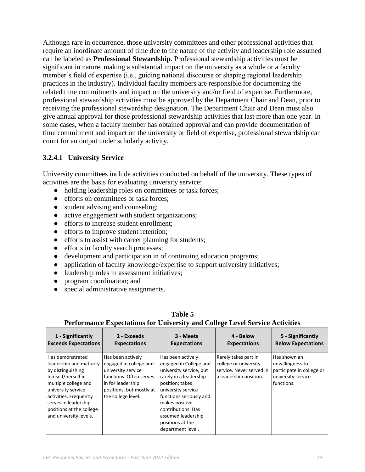Although rare in occurrence, those university committees and other professional activities that require an inordinate amount of time due to the nature of the activity and leadership role assumed can be labeled as **Professional Stewardship**. Professional stewardship activities must be significant in nature, making a substantial impact on the university as a whole or a faculty member's field of expertise (i.e., guiding national discourse or shaping regional leadership practices in the industry). Individual faculty members are responsible for documenting the related time commitments and impact on the university and/or field of expertise. Furthermore, professional stewardship activities must be approved by the Department Chair and Dean, prior to receiving the professional stewardship designation. The Department Chair and Dean must also give annual approval for those professional stewardship activities that last more than one year. In some cases, when a faculty member has obtained approval and can provide documentation of time commitment and impact on the university or field of expertise, professional stewardship can count for an output under scholarly activity.

#### **3.2.4.1 University Service**

University committees include activities conducted on behalf of the university. These types of activities are the basis for evaluating university service:

- holding leadership roles on committees or task forces;
- efforts on committees or task forces;
- student advising and counseling;
- active engagement with student organizations;
- efforts to increase student enrollment:
- efforts to improve student retention;
- efforts to assist with career planning for students;
- efforts in faculty search processes;
- development and participation in of continuing education programs;
- application of faculty knowledge/expertise to support university initiatives;
- leadership roles in assessment initiatives;
- program coordination; and
- special administrative assignments.

| 1 - Significantly                                                                                                                                                                                                                            | 2 - Exceeds                                                                                                                                                         | 3 - Meets                                                                                                                                                                                                                                                                   | 4 - Below                                                                                           | 5 - Significantly                                                                                 |
|----------------------------------------------------------------------------------------------------------------------------------------------------------------------------------------------------------------------------------------------|---------------------------------------------------------------------------------------------------------------------------------------------------------------------|-----------------------------------------------------------------------------------------------------------------------------------------------------------------------------------------------------------------------------------------------------------------------------|-----------------------------------------------------------------------------------------------------|---------------------------------------------------------------------------------------------------|
| <b>Exceeds Expectations</b>                                                                                                                                                                                                                  | <b>Expectations</b>                                                                                                                                                 | <b>Expectations</b>                                                                                                                                                                                                                                                         | <b>Expectations</b>                                                                                 | <b>Below Expectations</b>                                                                         |
| Has demonstrated<br>leadership and maturity<br>by distinguishing<br>himself/herself in<br>multiple college and<br>university service<br>activities. Frequently<br>serves in leadership<br>positions at the college<br>and university levels. | Has been actively<br>engaged in college and<br>university service<br>functions. Often serves<br>in for leadership<br>positions, but mostly at<br>the college level. | Has been actively<br>engaged in College and<br>university service, but<br>rarely in a leadership<br>position; takes<br>university service<br>functions seriously and<br>makes positive<br>contributions. Has<br>assumed leadership<br>positions at the<br>department level. | Rarely takes part in<br>college or university<br>service. Never served in<br>a leadership position. | Has shown an<br>unwillingness to<br>participate in college or<br>university service<br>functions. |

#### **Table 5 Performance Expectations for University and College Level Service Activities**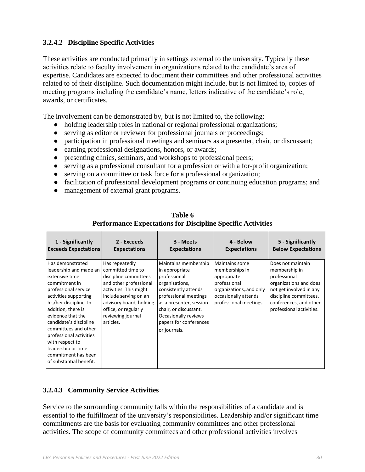## **3.2.4.2 Discipline Specific Activities**

These activities are conducted primarily in settings external to the university. Typically these activities relate to faculty involvement in organizations related to the candidate's area of expertise. Candidates are expected to document their committees and other professional activities related to of their discipline. Such documentation might include, but is not limited to, copies of meeting programs including the candidate's name, letters indicative of the candidate's role, awards, or certificates.

The involvement can be demonstrated by, but is not limited to, the following:

- holding leadership roles in national or regional professional organizations;
- serving as editor or reviewer for professional journals or proceedings;
- participation in professional meetings and seminars as a presenter, chair, or discussant;
- earning professional designations, honors, or awards;
- presenting clinics, seminars, and workshops to professional peers;
- serving as a professional consultant for a profession or with a for-profit organization;
- serving on a committee or task force for a professional organization;

 $\overline{\phantom{0}}$ 

- facilitation of professional development programs or continuing education programs; and
- management of external grant programs.

| 1 - Significantly                                                                                                                                                                                                                                                                                                                                                           | 2 - Exceeds                                                                                                                                                                                                                    | 3 - Meets                                                                                                                                                                                                                                       | 4 - Below                                                                                                                                           | 5 - Significantly                                                                                                                                                                       |
|-----------------------------------------------------------------------------------------------------------------------------------------------------------------------------------------------------------------------------------------------------------------------------------------------------------------------------------------------------------------------------|--------------------------------------------------------------------------------------------------------------------------------------------------------------------------------------------------------------------------------|-------------------------------------------------------------------------------------------------------------------------------------------------------------------------------------------------------------------------------------------------|-----------------------------------------------------------------------------------------------------------------------------------------------------|-----------------------------------------------------------------------------------------------------------------------------------------------------------------------------------------|
| <b>Exceeds Expectations</b>                                                                                                                                                                                                                                                                                                                                                 | <b>Expectations</b>                                                                                                                                                                                                            | <b>Expectations</b>                                                                                                                                                                                                                             | <b>Expectations</b>                                                                                                                                 | <b>Below Expectations</b>                                                                                                                                                               |
| Has demonstrated<br>leadership and made an<br>extensive time<br>commitment in<br>professional service<br>activities supporting<br>his/her discipline. In<br>addition, there is<br>evidence that the<br>candidate's discipline<br>committees and other<br>professional activities<br>with respect to<br>leadership or time<br>commitment has been<br>of substantial benefit. | Has repeatedly<br>committed time to<br>discipline committees<br>and other professional<br>activities. This might<br>include serving on an<br>advisory board, holding<br>office, or regularly<br>reviewing journal<br>articles. | Maintains membership<br>in appropriate<br>professional<br>organizations,<br>consistently attends<br>professional meetings<br>as a presenter, session<br>chair, or discussant.<br>Occasionally reviews<br>papers for conferences<br>or journals. | <b>Maintains some</b><br>memberships in<br>appropriate<br>professional<br>organizations, and only<br>occasionally attends<br>professional meetings. | Does not maintain<br>membership in<br>professional<br>organizations and does<br>not get involved in any<br>discipline committees,<br>conferences, and other<br>professional activities. |

**Table 6 Performance Expectations for Discipline Specific Activities**

#### **3.2.4.3 Community Service Activities**

Service to the surrounding community falls within the responsibilities of a candidate and is essential to the fulfillment of the university's responsibilities. Leadership and/or significant time commitments are the basis for evaluating community committees and other professional activities. The scope of community committees and other professional activities involves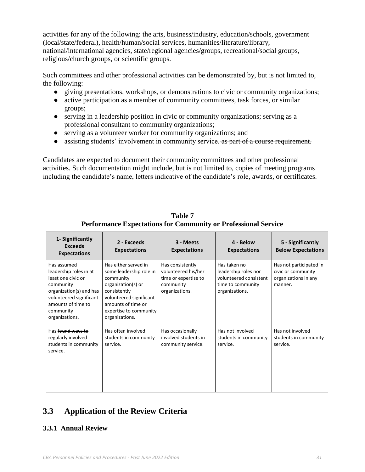activities for any of the following: the arts, business/industry, education/schools, government (local/state/federal), health/human/social services, humanities/literature/library, national/international agencies, state/regional agencies/groups, recreational/social groups, religious/church groups, or scientific groups.

Such committees and other professional activities can be demonstrated by, but is not limited to, the following:

- giving presentations, workshops, or demonstrations to civic or community organizations;
- active participation as a member of community committees, task forces, or similar groups;
- serving in a leadership position in civic or community organizations; serving as a professional consultant to community organizations;
- serving as a volunteer worker for community organizations; and
- assisting students' involvement in community service. As part of a course requirement.

Candidates are expected to document their community committees and other professional activities. Such documentation might include, but is not limited to, copies of meeting programs including the candidate's name, letters indicative of the candidate's role, awards, or certificates.

| 1- Significantly<br><b>Exceeds</b><br><b>Expectations</b>                                                                                                                           | 2 - Exceeds<br><b>Expectations</b>                                                                                                                                                              | 3 - Meets<br><b>Expectations</b>                                                               | 4 - Below<br><b>Expectations</b>                                                                      | 5 - Significantly<br><b>Below Expectations</b>                                   |
|-------------------------------------------------------------------------------------------------------------------------------------------------------------------------------------|-------------------------------------------------------------------------------------------------------------------------------------------------------------------------------------------------|------------------------------------------------------------------------------------------------|-------------------------------------------------------------------------------------------------------|----------------------------------------------------------------------------------|
| Has assumed<br>leadership roles in at<br>least one civic or<br>community<br>organization(s) and has<br>volunteered significant<br>amounts of time to<br>community<br>organizations. | Has either served in<br>some leadership role in<br>community<br>organization(s) or<br>consistently<br>volunteered significant<br>amounts of time or<br>expertise to community<br>organizations. | Has consistently<br>volunteered his/her<br>time or expertise to<br>community<br>organizations. | Has taken no<br>leadership roles nor<br>volunteered consistent<br>time to community<br>organizations. | Has not participated in<br>civic or community<br>organizations in any<br>manner. |
| Has found ways to<br>regularly involved<br>students in community<br>service.                                                                                                        | Has often involved<br>students in community<br>service.                                                                                                                                         | Has occasionally<br>involved students in<br>community service.                                 | Has not involved<br>students in community<br>service.                                                 | Has not involved<br>students in community<br>service.                            |

**Table 7 Performance Expectations for Community or Professional Service**

# **3.3 Application of the Review Criteria**

#### **3.3.1 Annual Review**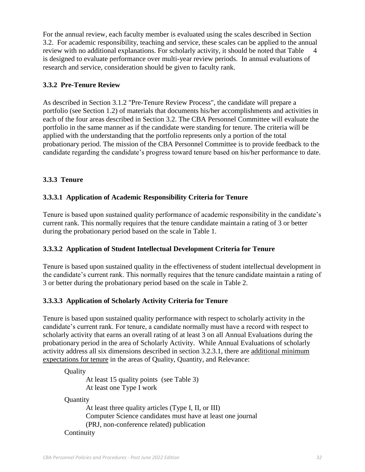For the annual review, each faculty member is evaluated using the scales described in Section 3.2. For academic responsibility, teaching and service, these scales can be applied to the annual review with no additional explanations. For scholarly activity, it should be noted that Table 4 is designed to evaluate performance over multi-year review periods. In annual evaluations of research and service, consideration should be given to faculty rank.

#### **3.3.2 Pre-Tenure Review**

As described in Section 3.1.2 "Pre-Tenure Review Process", the candidate will prepare a portfolio (see Section 1.2) of materials that documents his/her accomplishments and activities in each of the four areas described in Section 3.2. The CBA Personnel Committee will evaluate the portfolio in the same manner as if the candidate were standing for tenure. The criteria will be applied with the understanding that the portfolio represents only a portion of the total probationary period. The mission of the CBA Personnel Committee is to provide feedback to the candidate regarding the candidate's progress toward tenure based on his/her performance to date.

#### **3.3.3 Tenure**

#### **3.3.3.1 Application of Academic Responsibility Criteria for Tenure**

Tenure is based upon sustained quality performance of academic responsibility in the candidate's current rank. This normally requires that the tenure candidate maintain a rating of 3 or better during the probationary period based on the scale in Table 1.

#### **3.3.3.2 Application of Student Intellectual Development Criteria for Tenure**

Tenure is based upon sustained quality in the effectiveness of student intellectual development in the candidate's current rank. This normally requires that the tenure candidate maintain a rating of 3 or better during the probationary period based on the scale in Table 2.

#### **3.3.3.3 Application of Scholarly Activity Criteria for Tenure**

Tenure is based upon sustained quality performance with respect to scholarly activity in the candidate's current rank. For tenure, a candidate normally must have a record with respect to scholarly activity that earns an overall rating of at least 3 on all Annual Evaluations during the probationary period in the area of Scholarly Activity. While Annual Evaluations of scholarly activity address all six dimensions described in section 3.2.3.1, there are additional minimum expectations for tenure in the areas of Quality, Quantity, and Relevance:

**Ouality** 

At least 15 quality points (see Table 3) At least one Type I work

**Quantity** 

At least three quality articles (Type I, II, or III) Computer Science candidates must have at least one journal (PRJ, non-conference related) publication **Continuity**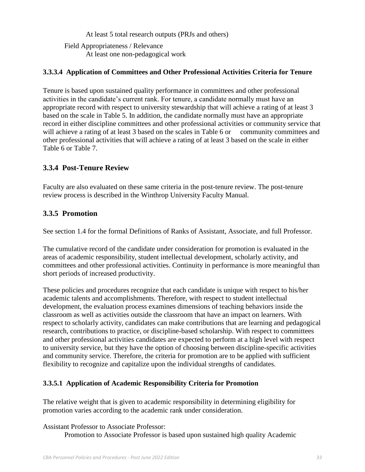At least 5 total research outputs (PRJs and others)

Field Appropriateness / Relevance At least one non-pedagogical work

## **3.3.3.4 Application of Committees and Other Professional Activities Criteria for Tenure**

Tenure is based upon sustained quality performance in committees and other professional activities in the candidate's current rank. For tenure, a candidate normally must have an appropriate record with respect to university stewardship that will achieve a rating of at least 3 based on the scale in Table 5. In addition, the candidate normally must have an appropriate record in either discipline committees and other professional activities or community service that will achieve a rating of at least 3 based on the scales in Table 6 or community committees and other professional activities that will achieve a rating of at least 3 based on the scale in either Table 6 or Table 7.

## **3.3.4 Post-Tenure Review**

Faculty are also evaluated on these same criteria in the post-tenure review. The post-tenure review process is described in the Winthrop University Faculty Manual.

## **3.3.5 Promotion**

See section 1.4 for the formal Definitions of Ranks of Assistant, Associate, and full Professor.

The cumulative record of the candidate under consideration for promotion is evaluated in the areas of academic responsibility, student intellectual development, scholarly activity, and committees and other professional activities. Continuity in performance is more meaningful than short periods of increased productivity.

These policies and procedures recognize that each candidate is unique with respect to his/her academic talents and accomplishments. Therefore, with respect to student intellectual development, the evaluation process examines dimensions of teaching behaviors inside the classroom as well as activities outside the classroom that have an impact on learners. With respect to scholarly activity, candidates can make contributions that are learning and pedagogical research, contributions to practice, or discipline-based scholarship. With respect to committees and other professional activities candidates are expected to perform at a high level with respect to university service, but they have the option of choosing between discipline-specific activities and community service. Therefore, the criteria for promotion are to be applied with sufficient flexibility to recognize and capitalize upon the individual strengths of candidates.

## **3.3.5.1 Application of Academic Responsibility Criteria for Promotion**

The relative weight that is given to academic responsibility in determining eligibility for promotion varies according to the academic rank under consideration.

#### Assistant Professor to Associate Professor:

Promotion to Associate Professor is based upon sustained high quality Academic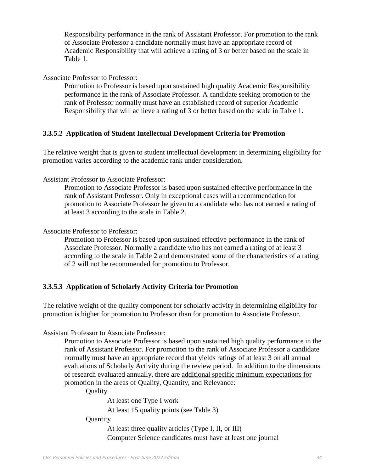Responsibility performance in the rank of Assistant Professor. For promotion to the rank of Associate Professor a candidate normally must have an appropriate record of Academic Responsibility that will achieve a rating of 3 or better based on the scale in Table 1.

Associate Professor to Professor:

Promotion to Professor is based upon sustained high quality Academic Responsibility performance in the rank of Associate Professor. A candidate seeking promotion to the rank of Professor normally must have an established record of superior Academic Responsibility that will achieve a rating of 3 or better based on the scale in Table 1.

#### **3.3.5.2 Application of Student Intellectual Development Criteria for Promotion**

The relative weight that is given to student intellectual development in determining eligibility for promotion varies according to the academic rank under consideration.

Assistant Professor to Associate Professor:

Promotion to Associate Professor is based upon sustained effective performance in the rank of Assistant Professor. Only in exceptional cases will a recommendation for promotion to Associate Professor be given to a candidate who has not earned a rating of at least 3 according to the scale in Table 2.

#### Associate Professor to Professor:

Promotion to Professor is based upon sustained effective performance in the rank of Associate Professor. Normally a candidate who has not earned a rating of at least 3 according to the scale in Table 2 and demonstrated some of the characteristics of a rating of 2 will not be recommended for promotion to Professor.

#### **3.3.5.3 Application of Scholarly Activity Criteria for Promotion**

The relative weight of the quality component for scholarly activity in determining eligibility for promotion is higher for promotion to Professor than for promotion to Associate Professor.

Assistant Professor to Associate Professor:

Promotion to Associate Professor is based upon sustained high quality performance in the rank of Assistant Professor. For promotion to the rank of Associate Professor a candidate normally must have an appropriate record that yields ratings of at least 3 on all annual evaluations of Scholarly Activity during the review period. In addition to the dimensions of research evaluated annually, there are additional specific minimum expectations for promotion in the areas of Quality, Quantity, and Relevance:

**Ouality** 

At least one Type I work At least 15 quality points (see Table 3)

#### **Quantity**

At least three quality articles (Type I, II, or III) Computer Science candidates must have at least one journal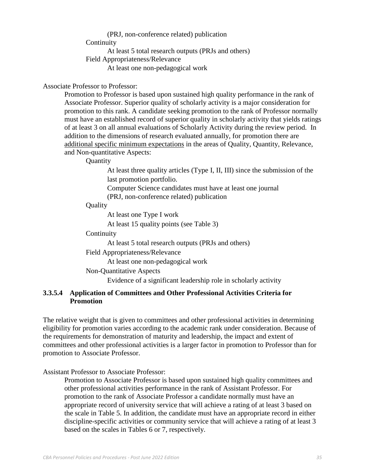## (PRJ, non-conference related) publication **Continuity** At least 5 total research outputs (PRJs and others) Field Appropriateness/Relevance At least one non-pedagogical work

#### Associate Professor to Professor:

Promotion to Professor is based upon sustained high quality performance in the rank of Associate Professor. Superior quality of scholarly activity is a major consideration for promotion to this rank. A candidate seeking promotion to the rank of Professor normally must have an established record of superior quality in scholarly activity that yields ratings of at least 3 on all annual evaluations of Scholarly Activity during the review period. In addition to the dimensions of research evaluated annually, for promotion there are additional specific minimum expectations in the areas of Quality, Quantity, Relevance, and Non-quantitative Aspects:

#### **Ouantity**

At least three quality articles (Type I, II, III) since the submission of the last promotion portfolio.

Computer Science candidates must have at least one journal (PRJ, non-conference related) publication

Quality

At least one Type I work

At least 15 quality points (see Table 3)

**Continuity** 

At least 5 total research outputs (PRJs and others)

Field Appropriateness/Relevance

At least one non-pedagogical work

Non-Quantitative Aspects

Evidence of a significant leadership role in scholarly activity

#### **3.3.5.4 Application of Committees and Other Professional Activities Criteria for Promotion**

The relative weight that is given to committees and other professional activities in determining eligibility for promotion varies according to the academic rank under consideration. Because of the requirements for demonstration of maturity and leadership, the impact and extent of committees and other professional activities is a larger factor in promotion to Professor than for promotion to Associate Professor.

Assistant Professor to Associate Professor:

Promotion to Associate Professor is based upon sustained high quality committees and other professional activities performance in the rank of Assistant Professor. For promotion to the rank of Associate Professor a candidate normally must have an appropriate record of university service that will achieve a rating of at least 3 based on the scale in Table 5. In addition, the candidate must have an appropriate record in either discipline-specific activities or community service that will achieve a rating of at least 3 based on the scales in Tables 6 or 7, respectively.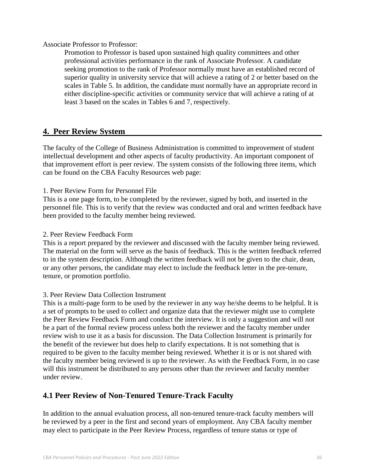Associate Professor to Professor:

Promotion to Professor is based upon sustained high quality committees and other professional activities performance in the rank of Associate Professor. A candidate seeking promotion to the rank of Professor normally must have an established record of superior quality in university service that will achieve a rating of 2 or better based on the scales in Table 5. In addition, the candidate must normally have an appropriate record in either discipline-specific activities or community service that will achieve a rating of at least 3 based on the scales in Tables 6 and 7, respectively.

## **4. Peer Review System**

The faculty of the College of Business Administration is committed to improvement of student intellectual development and other aspects of faculty productivity. An important component of that improvement effort is peer review. The system consists of the following three items, which can be found on the CBA Faculty Resources web page:

1. Peer Review Form for Personnel File

This is a one page form, to be completed by the reviewer, signed by both, and inserted in the personnel file. This is to verify that the review was conducted and oral and written feedback have been provided to the faculty member being reviewed.

2. Peer Review Feedback Form

This is a report prepared by the reviewer and discussed with the faculty member being reviewed. The material on the form will serve as the basis of feedback. This is the written feedback referred to in the system description. Although the written feedback will not be given to the chair, dean, or any other persons, the candidate may elect to include the feedback letter in the pre-tenure, tenure, or promotion portfolio.

#### 3. Peer Review Data Collection Instrument

This is a multi-page form to be used by the reviewer in any way he/she deems to be helpful. It is a set of prompts to be used to collect and organize data that the reviewer might use to complete the Peer Review Feedback Form and conduct the interview. It is only a suggestion and will not be a part of the formal review process unless both the reviewer and the faculty member under review wish to use it as a basis for discussion. The Data Collection Instrument is primarily for the benefit of the reviewer but does help to clarify expectations. It is not something that is required to be given to the faculty member being reviewed. Whether it is or is not shared with the faculty member being reviewed is up to the reviewer. As with the Feedback Form, in no case will this instrument be distributed to any persons other than the reviewer and faculty member under review.

#### **4.1 Peer Review of Non-Tenured Tenure-Track Faculty**

In addition to the annual evaluation process, all non-tenured tenure-track faculty members will be reviewed by a peer in the first and second years of employment. Any CBA faculty member may elect to participate in the Peer Review Process, regardless of tenure status or type of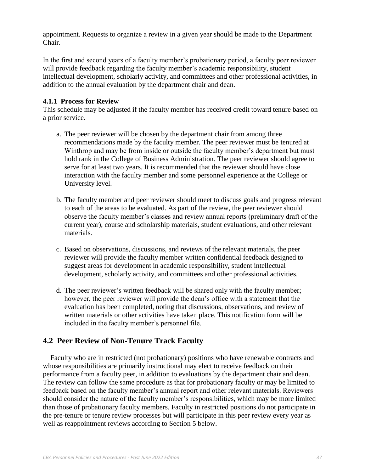appointment. Requests to organize a review in a given year should be made to the Department Chair.

In the first and second years of a faculty member's probationary period, a faculty peer reviewer will provide feedback regarding the faculty member's academic responsibility, student intellectual development, scholarly activity, and committees and other professional activities, in addition to the annual evaluation by the department chair and dean.

#### **4.1.1 Process for Review**

This schedule may be adjusted if the faculty member has received credit toward tenure based on a prior service.

- a. The peer reviewer will be chosen by the department chair from among three recommendations made by the faculty member. The peer reviewer must be tenured at Winthrop and may be from inside or outside the faculty member's department but must hold rank in the College of Business Administration. The peer reviewer should agree to serve for at least two years. It is recommended that the reviewer should have close interaction with the faculty member and some personnel experience at the College or University level.
- b. The faculty member and peer reviewer should meet to discuss goals and progress relevant to each of the areas to be evaluated. As part of the review, the peer reviewer should observe the faculty member's classes and review annual reports (preliminary draft of the current year), course and scholarship materials, student evaluations, and other relevant materials.
- c. Based on observations, discussions, and reviews of the relevant materials, the peer reviewer will provide the faculty member written confidential feedback designed to suggest areas for development in academic responsibility, student intellectual development, scholarly activity, and committees and other professional activities.
- d. The peer reviewer's written feedback will be shared only with the faculty member; however, the peer reviewer will provide the dean's office with a statement that the evaluation has been completed, noting that discussions, observations, and review of written materials or other activities have taken place. This notification form will be included in the faculty member's personnel file.

## **4.2 Peer Review of Non-Tenure Track Faculty**

 Faculty who are in restricted (not probationary) positions who have renewable contracts and whose responsibilities are primarily instructional may elect to receive feedback on their performance from a faculty peer, in addition to evaluations by the department chair and dean. The review can follow the same procedure as that for probationary faculty or may be limited to feedback based on the faculty member's annual report and other relevant materials. Reviewers should consider the nature of the faculty member's responsibilities, which may be more limited than those of probationary faculty members. Faculty in restricted positions do not participate in the pre-tenure or tenure review processes but will participate in this peer review every year as well as reappointment reviews according to Section 5 below.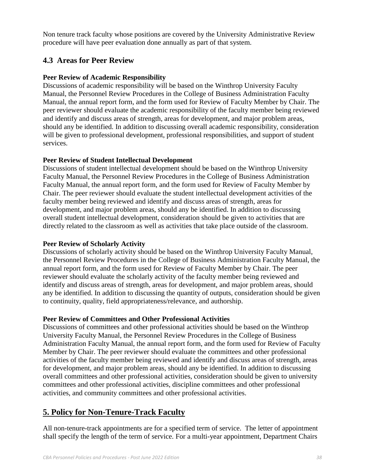Non tenure track faculty whose positions are covered by the University Administrative Review procedure will have peer evaluation done annually as part of that system.

## **4.3 Areas for Peer Review**

#### **Peer Review of Academic Responsibility**

Discussions of academic responsibility will be based on the Winthrop University Faculty Manual, the Personnel Review Procedures in the College of Business Administration Faculty Manual, the annual report form, and the form used for Review of Faculty Member by Chair. The peer reviewer should evaluate the academic responsibility of the faculty member being reviewed and identify and discuss areas of strength, areas for development, and major problem areas, should any be identified. In addition to discussing overall academic responsibility, consideration will be given to professional development, professional responsibilities, and support of student services.

#### **Peer Review of Student Intellectual Development**

Discussions of student intellectual development should be based on the Winthrop University Faculty Manual, the Personnel Review Procedures in the College of Business Administration Faculty Manual, the annual report form, and the form used for Review of Faculty Member by Chair. The peer reviewer should evaluate the student intellectual development activities of the faculty member being reviewed and identify and discuss areas of strength, areas for development, and major problem areas, should any be identified. In addition to discussing overall student intellectual development, consideration should be given to activities that are directly related to the classroom as well as activities that take place outside of the classroom.

#### **Peer Review of Scholarly Activity**

Discussions of scholarly activity should be based on the Winthrop University Faculty Manual, the Personnel Review Procedures in the College of Business Administration Faculty Manual, the annual report form, and the form used for Review of Faculty Member by Chair. The peer reviewer should evaluate the scholarly activity of the faculty member being reviewed and identify and discuss areas of strength, areas for development, and major problem areas, should any be identified. In addition to discussing the quantity of outputs, consideration should be given to continuity, quality, field appropriateness/relevance, and authorship.

#### **Peer Review of Committees and Other Professional Activities**

Discussions of committees and other professional activities should be based on the Winthrop University Faculty Manual, the Personnel Review Procedures in the College of Business Administration Faculty Manual, the annual report form, and the form used for Review of Faculty Member by Chair. The peer reviewer should evaluate the committees and other professional activities of the faculty member being reviewed and identify and discuss areas of strength, areas for development, and major problem areas, should any be identified. In addition to discussing overall committees and other professional activities, consideration should be given to university committees and other professional activities, discipline committees and other professional activities, and community committees and other professional activities.

# **5. Policy for Non-Tenure-Track Faculty**

All non-tenure-track appointments are for a specified term of service. The letter of appointment shall specify the length of the term of service. For a multi-year appointment, Department Chairs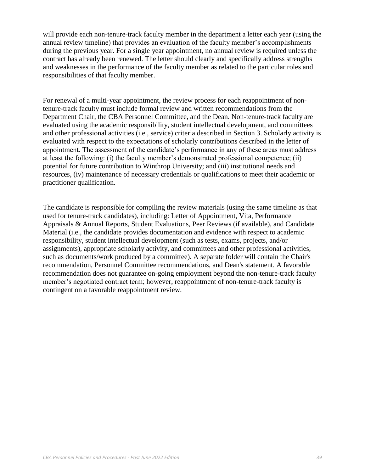will provide each non-tenure-track faculty member in the department a letter each year (using the annual review timeline) that provides an evaluation of the faculty member's accomplishments during the previous year. For a single year appointment, no annual review is required unless the contract has already been renewed. The letter should clearly and specifically address strengths and weaknesses in the performance of the faculty member as related to the particular roles and responsibilities of that faculty member.

For renewal of a multi-year appointment, the review process for each reappointment of nontenure-track faculty must include formal review and written recommendations from the Department Chair, the CBA Personnel Committee, and the Dean. Non-tenure-track faculty are evaluated using the academic responsibility, student intellectual development, and committees and other professional activities (i.e., service) criteria described in Section 3. Scholarly activity is evaluated with respect to the expectations of scholarly contributions described in the letter of appointment. The assessment of the candidate's performance in any of these areas must address at least the following: (i) the faculty member's demonstrated professional competence; (ii) potential for future contribution to Winthrop University; and (iii) institutional needs and resources, (iv) maintenance of necessary credentials or qualifications to meet their academic or practitioner qualification.

The candidate is responsible for compiling the review materials (using the same timeline as that used for tenure-track candidates), including: Letter of Appointment, Vita, Performance Appraisals & Annual Reports, Student Evaluations, Peer Reviews (if available), and Candidate Material (i.e., the candidate provides documentation and evidence with respect to academic responsibility, student intellectual development (such as tests, exams, projects, and/or assignments), appropriate scholarly activity, and committees and other professional activities, such as documents/work produced by a committee). A separate folder will contain the Chair's recommendation, Personnel Committee recommendations, and Dean's statement. A favorable recommendation does not guarantee on-going employment beyond the non-tenure-track faculty member's negotiated contract term; however, reappointment of non-tenure-track faculty is contingent on a favorable reappointment review.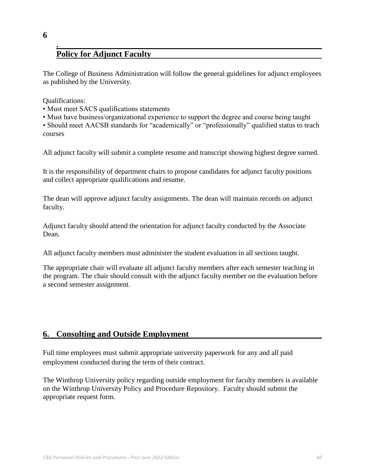# **Policy for Adjunct Faculty**

The College of Business Administration will follow the general guidelines for adjunct employees as published by the University.

Qualifications:

**6**

**.**

- Must meet SACS qualifications statements
- Must have business/organizational experience to support the degree and course being taught

• Should meet AACSB standards for "academically" or "professionally" qualified status to teach courses

All adjunct faculty will submit a complete resume and transcript showing highest degree earned.

It is the responsibility of department chairs to propose candidates for adjunct faculty positions and collect appropriate qualifications and resume.

The dean will approve adjunct faculty assignments. The dean will maintain records on adjunct faculty.

Adjunct faculty should attend the orientation for adjunct faculty conducted by the Associate Dean.

All adjunct faculty members must administer the student evaluation in all sections taught.

The appropriate chair will evaluate all adjunct faculty members after each semester teaching in the program. The chair should consult with the adjunct faculty member on the evaluation before a second semester assignment.

## **6. Consulting and Outside Employment**

Full time employees must submit appropriate university paperwork for any and all paid employment conducted during the term of their contract.

The Winthrop University policy regarding outside employment for faculty members is available on the Winthrop University Policy and Procedure Repository. Faculty should submit the appropriate request form.